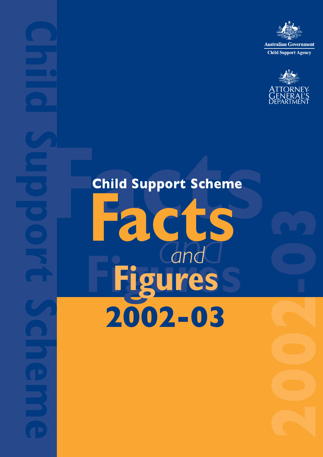



# **Child Support Scheme**

**Child Support Scheme** *and* **Figures Facts** *and* **Figures 2002-03**

**Child Support Scheme**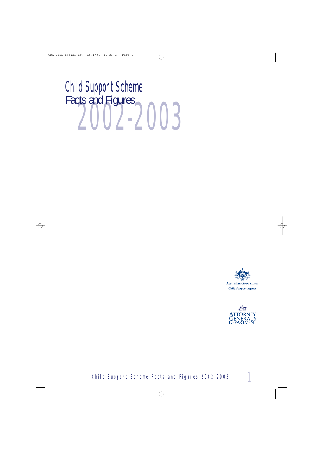# Facts and Figures<br>2002-2003 Child Support Scheme





Child Support Scheme Facts and Figures 2002-2003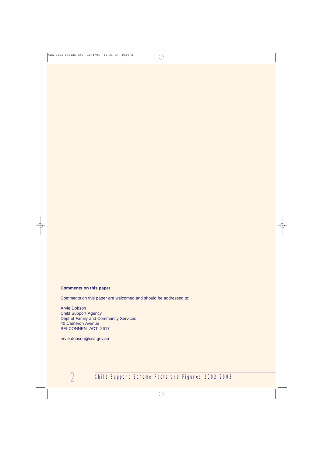#### **Comments on this paper**

Comments on this paper are welcomed and should be addressed to:

Arvie Dobson Child Support Agency Dept of Family and Community Services 40 Cameron Avenue BELCONNEN ACT 2617

arvie.dobson@csa.gov.au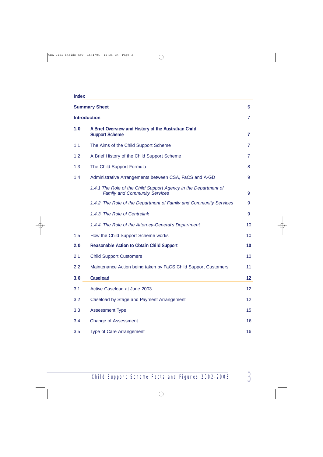#### **Index**

|                     | <b>Summary Sheet</b>                                                                                    | 6              |
|---------------------|---------------------------------------------------------------------------------------------------------|----------------|
| <b>Introduction</b> |                                                                                                         | $\overline{7}$ |
| 1.0                 | A Brief Overview and History of the Australian Child<br><b>Support Scheme</b>                           | 7              |
| 1.1                 | The Aims of the Child Support Scheme                                                                    | $\overline{7}$ |
| 1.2                 | A Brief History of the Child Support Scheme                                                             | 7              |
| 1.3                 | The Child Support Formula                                                                               | 8              |
| 1.4                 | Administrative Arrangements between CSA, FaCS and A-GD                                                  | 9              |
|                     | 1.4.1 The Role of the Child Support Agency in the Department of<br><b>Family and Community Services</b> | 9              |
|                     | 1.4.2 The Role of the Department of Family and Community Services                                       | 9              |
|                     | 1.4.3 The Role of Centrelink                                                                            | 9              |
|                     | 1.4.4 The Role of the Attorney-General's Department                                                     | 10             |
| 1.5                 | How the Child Support Scheme works                                                                      | 10             |
| 2.0                 | <b>Reasonable Action to Obtain Child Support</b>                                                        | 10             |
| 2.1                 | <b>Child Support Customers</b>                                                                          | 10             |
| 2.2                 | Maintenance Action being taken by FaCS Child Support Customers                                          | 11             |
| 3.0                 | <b>Caseload</b>                                                                                         | 12             |
| 3.1                 | Active Caseload at June 2003                                                                            | 12             |
| 3.2                 | Caseload by Stage and Payment Arrangement                                                               | 12             |
| 3.3                 | <b>Assessment Type</b>                                                                                  | 15             |
| 3.4                 | <b>Change of Assessment</b>                                                                             | 16             |
| 3.5                 | <b>Type of Care Arrangement</b>                                                                         | 16             |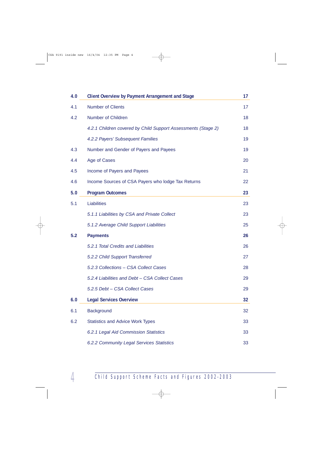| 4.0 | <b>Client Overview by Payment Arrangement and Stage</b>       | 17 |
|-----|---------------------------------------------------------------|----|
| 4.1 | <b>Number of Clients</b>                                      | 17 |
| 4.2 | <b>Number of Children</b>                                     | 18 |
|     | 4.2.1 Children covered by Child Support Assessments (Stage 2) | 18 |
|     | 4.2.2 Payers' Subsequent Families                             | 19 |
| 4.3 | Number and Gender of Payers and Payees                        | 19 |
| 4.4 | Age of Cases                                                  | 20 |
| 4.5 | Income of Payers and Payees                                   | 21 |
| 4.6 | Income Sources of CSA Payers who lodge Tax Returns            | 22 |
| 5.0 | <b>Program Outcomes</b>                                       | 23 |
| 5.1 | <b>Liabilities</b>                                            | 23 |
|     | 5.1.1 Liabilities by CSA and Private Collect                  | 23 |
|     | 5.1.2 Average Child Support Liabilities                       | 25 |
| 5.2 | <b>Payments</b>                                               | 26 |
|     | 5.2.1 Total Credits and Liabilities                           | 26 |
|     | 5.2.2 Child Support Transferred                               | 27 |
|     | 5.2.3 Collections - CSA Collect Cases                         | 28 |
|     | 5.2.4 Liabilities and Debt - CSA Collect Cases                | 29 |
|     | 5.2.5 Debt - CSA Collect Cases                                | 29 |
| 6.0 | <b>Legal Services Overview</b>                                | 32 |
| 6.1 | <b>Background</b>                                             | 32 |
| 6.2 | <b>Statistics and Advice Work Types</b>                       | 33 |
|     | 6.2.1 Legal Aid Commission Statistics                         | 33 |
|     | <b>6.2.2 Community Legal Services Statistics</b>              | 33 |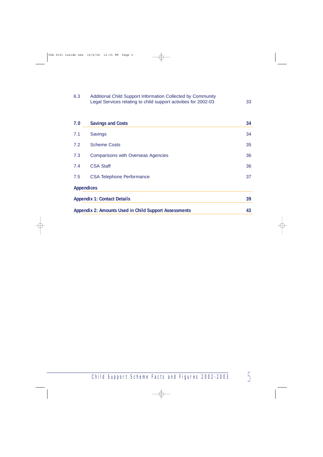| 6.3 | Additional Child Support Information Collected by Community<br>Legal Services relating to child support activities for 2002-03 | 33 |
|-----|--------------------------------------------------------------------------------------------------------------------------------|----|
| 7.0 | <b>Savings and Costs</b>                                                                                                       | 34 |
| 7.1 | <b>Savings</b>                                                                                                                 | 34 |
| 7.2 | <b>Scheme Costs</b>                                                                                                            | 35 |
| 7.3 | <b>Comparisons with Overseas Agencies</b>                                                                                      | 36 |
| 7.4 | <b>CSA Staff</b>                                                                                                               | 36 |
| 7.5 | <b>CSA Telephone Performance</b>                                                                                               | 37 |
|     | <b>Appendices</b>                                                                                                              |    |
|     | <b>Appendix 1: Contact Details</b>                                                                                             | 39 |
|     | <b>Appendix 2: Amounts Used in Child Support Assessments</b>                                                                   | 43 |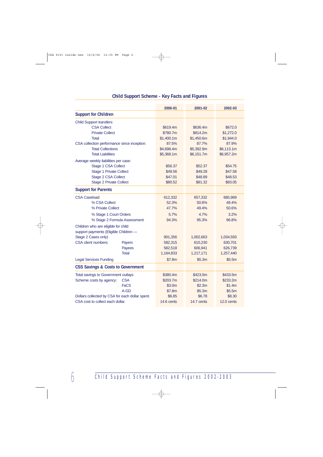|                                                 | 2000-01    | 2001-02    | 2002-03    |
|-------------------------------------------------|------------|------------|------------|
| <b>Support for Children</b>                     |            |            |            |
| <b>Child Support transfers:</b>                 |            |            |            |
| <b>CSA Collect</b>                              | \$619.4m   | \$636.4m   | \$672.0    |
| <b>Private Collect</b>                          | \$780.7m   | \$814.2m   | \$1,272.0  |
| <b>Total</b>                                    | \$1,400.1m | \$1,450.6m | \$1,944.0  |
| CSA collection performance since inception:     | 87.5%      | 87.7%      | 87.9%      |
| <b>Total Collections</b>                        | \$4,698.4m | \$5,392.9m | \$6,113.1m |
| <b>Total Liabilities</b>                        | \$5,368.1m | \$6,151.7m | \$6,957.2m |
| Average weekly liabilities per case:            |            |            |            |
| Stage 1 CSA Collect                             | \$56.37    | \$52.37    | \$54.75    |
| <b>Stage 1 Private Collect</b>                  | \$49.56    | \$49.28    | \$47.58    |
| Stage 2 CSA Collect                             | \$47.01    | \$48.89    | \$48.53    |
| <b>Stage 2 Private Collect</b>                  | \$80.52    | \$81.32    | \$83.05    |
| <b>Support for Parents</b>                      |            |            |            |
| <b>CSA Caseload:</b>                            | 612,332    | 657,332    | 685,969    |
| % CSA Collect                                   | 52.3%      | 50.6%      | 49.4%      |
| % Private Collect                               | 47.7%      | 49.4%      | 50.6%      |
| % Stage 1 Court Orders                          | 5.7%       | 4.7%       | 3.2%       |
| % Stage 2 Formula Assessment                    | 94.3%      | 95.3%      | 96.8%      |
|                                                 |            |            |            |
| Children who are eligible for child             |            |            |            |
| support payments (Eligible Children -           |            |            |            |
| Stage 2 Cases only)                             | 901,356    | 1,002,663  | 1,034,593  |
| <b>CSA client numbers:</b><br><b>Payers</b>     | 582,315    | 610,230    | 630,701    |
| Payees                                          | 582,518    | 606,941    | 626,739    |
| <b>Total</b>                                    | 1,164,833  | 1,217,171  | 1,257,440  |
| <b>Legal Services Funding</b>                   | \$7.8m     | \$5.3m     | \$5.5m     |
| <b>CSS Savings &amp; Costs to Government</b>    |            |            |            |
| Total savings to Government outlays             | \$380.4m   | \$423.0m   | \$433.5m   |
| <b>CSA</b><br>Scheme costs by agency:           | \$203.7m   | \$214.0m   | \$233.2m   |
| <b>FaCS</b>                                     | \$3.0m     | \$2.3m     | \$1.4m     |
| A-GD                                            | \$7.8m     | \$5.3m     | \$5.5m     |
| Dollars collected by CSA for each dollar spent. | \$6.85     | \$6.78     | \$8.30     |
| CSA cost to collect each dollar.                | 14.6 cents | 14.7 cents | 12.0 cents |
|                                                 |            |            |            |

#### **Child Support Scheme - Key Facts and Figures**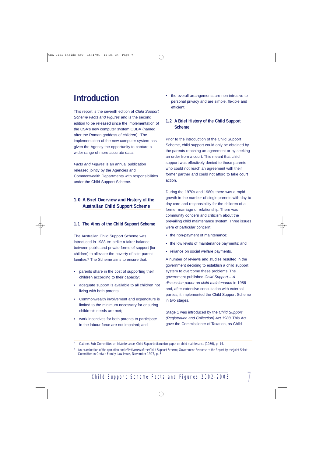## **Introduction**

This report is the seventh edition of *Child Support Scheme Facts and Figures* and is the second edition to be released since the implementation of the CSA's new computer system CUBA (named after the Roman goddess of children). The implementation of the new computer system has given the Agency the opportunity to capture a wider range of more accurate data.

*Facts and Figures* is an annual publication released jointly by the Agencies and Commonwealth Departments with responsibilities under the Child Support Scheme.

#### **1.0 A Brief Overview and History of the Australian Child Support Scheme**

#### **1.1 The Aims of the Child Support Scheme**

The Australian Child Support Scheme was introduced in 1988 to: 'strike a fairer balance between public and private forms of support [for children] to alleviate the poverty of sole parent families.<sup>'1</sup> The Scheme aims to ensure that:

- parents share in the cost of supporting their children according to their capacity;
- adequate support is available to all children not living with both parents;
- Commonwealth involvement and expenditure is limited to the minimum necessary for ensuring children's needs are met;
- work incentives for both parents to participate in the labour force are not impaired; and

• the overall arrangements are non-intrusive to personal privacy and are simple, flexible and efficient.2

#### **1.2 A Brief History of the Child Support Scheme**

Prior to the introduction of the Child Support Scheme, child support could only be obtained by the parents reaching an agreement or by seeking an order from a court. This meant that child support was effectively denied to those parents who could not reach an agreement with their former partner and could not afford to take court action.

During the 1970s and 1980s there was a rapid growth in the number of single parents with day-today care and responsibility for the children of a former marriage or relationship. There was community concern and criticism about the prevailing child maintenance system. Three issues were of particular concern:

- the non-payment of maintenance;
- the low levels of maintenance payments; and
- reliance on social welfare payments.

A number of reviews and studies resulted in the government deciding to establish a child support system to overcome these problems. The government published *Child Support – A discussion paper on child maintenance* in 1986 and, after extensive consultation with external parties, it implemented the Child Support Scheme in two stages.

Stage 1 was introduced by the *Child Support (Registration and Collection) Act 1988*. This Act gave the Commissioner of Taxation, as Child

<sup>1</sup> Cabinet Sub-Committee on Maintenance, *Child Support: discussion paper on child maintenance* (1986), p. 14.

<sup>2</sup> *An examination of the operation and effectiveness of the Child Support Scheme, Government Response to the Report by the Joint Select Committee on Certain Family Law Issues,* November 1997, p. 3.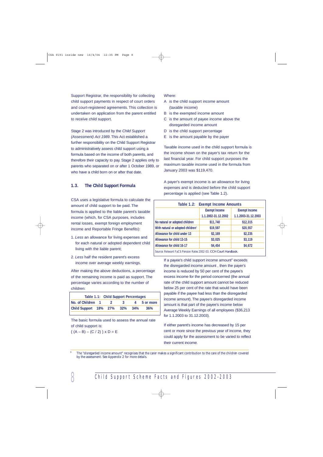Support Registrar, the responsibility for collecting child support payments in respect of court orders and court-registered agreements. This collection is undertaken on application from the parent entitled to receive child support.

Stage 2 was introduced by the *Child Support (Assessment) Act 1989*. This Act established a further responsibility on the Child Support Registrar to administratively assess child support using a formula based on the income of both parents, and therefore their capacity to pay. Stage 2 applies only to parents who separated on or after 1 October 1989, or who have a child born on or after that date.

#### **1.3. The Child Support Formula**

CSA uses a legislative formula to calculate the amount of child support to be paid. The formula is applied to the liable parent's taxable income (which, for CSA purposes, includes rental losses, exempt foreign employment income and Reportable Fringe Benefits):

- 1. *Less* an allowance for living expenses and for each natural or adopted dependent child living with the liable parent;
- 2. *Less* half the resident parent's excess income over average weekly earnings.

After making the above deductions, a percentage of the remaining income is paid as support. The percentage varies according to the number of children:

|                                   | Table 1.1: Child Support Percentages |  |  |
|-----------------------------------|--------------------------------------|--|--|
| No. of Children 1 2 3 4 5 or more |                                      |  |  |
| Child Support 18% 27% 32% 34% 36% |                                      |  |  |

The basic formula used to assess the annual rate of child support is:

 $\{(A - B) - (C / 2)\}\times D = E$ 

#### Where:

- A is the child support income amount (taxable income)
- B is the exempted income amount
- C is the amount of payee income above the disregarded income amount
- D is the child support percentage
- E is the amount payable by the payer

Taxable income used in the child support formula is the income shown on the payer's tax return for the last financial year. For child support purposes the maximum taxable income used in the formula from January 2003 was \$119,470.

A payer's exempt income is an allowance for living expenses and is deducted before the child support percentage is applied (see Table 1.2).

| <b>Table 1.2: Exempt Income Amounts</b>                        |                      |                      |  |  |  |  |
|----------------------------------------------------------------|----------------------|----------------------|--|--|--|--|
|                                                                | <b>Exempt Income</b> | <b>Exempt Income</b> |  |  |  |  |
|                                                                | 1.1.2002-31.12.2002  | 1.1.2003-31.12.2003  |  |  |  |  |
| No natural or adopted children                                 | \$11,740             | \$12,315             |  |  |  |  |
| With natural or adopted children <sup>1</sup>                  | \$19,597             | \$20,557             |  |  |  |  |
| Allowance for child under 13                                   | \$2,169              | \$2,235              |  |  |  |  |
| Allowance for child 13-15                                      | \$3,025              | \$3,119              |  |  |  |  |
| Allowance for child 16-17                                      | \$4,454              | \$4,672              |  |  |  |  |
| Source: Polavant FaCS Pension Pates 2002 03 CCH Court Handbook |                      |                      |  |  |  |  |

*Source: Relevant FaCS Pension Rates 2002-03, CCH Court Handbook.*

If a payee's child support income amount<sup>3</sup> exceeds the disregarded income amount , then the payer's income is reduced by 50 per cent of the payee's excess income for the period concerned (the annual rate of the child support amount cannot be reduced below 25 per cent of the rate that would have been payable if the payee had less than the disregarded income amount). The payee's disregarded income amount is that part of the payee's income below Average Weekly Earnings of all employees (\$36,213 for 1.1.2003 to 31.12.2003).

If either parent's income has decreased by 15 per cent or more since the previous year of income, they could apply for the assessment to be varied to reflect their current income.

<sup>3</sup> The "disregarded income amount" recognises that the carer makes a significant contribution to the care of the children covered by the assessment. See Appendix 2 for more details.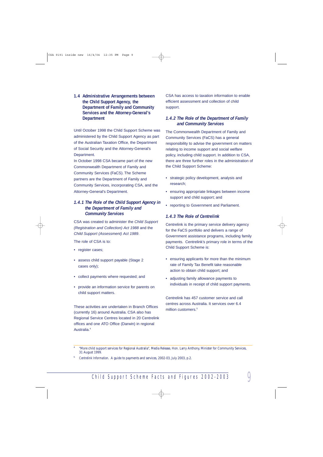**1.4 Administrative Arrangements between the Child Support Agency, the Department of Family and Community Services and the Attorney-General's Department**

Until October 1998 the Child Support Scheme was administered by the Child Support Agency as part of the Australian Taxation Office, the Department of Social Security and the Attorney-General's Department.

In October 1998 CSA became part of the new Commonwealth Department of Family and Community Services (FaCS). The Scheme partners are the Department of Family and Community Services, incorporating CSA, and the Attorney-General's Department.

#### *1.4.1 The Role of the Child Support Agency in the Department of Family and Community Services*

CSA was created to administer the *Child Support (Registration and Collection) Act 1988* and the *Child Support (Assessment) Act 1989*.

The role of CSA is to:

- register cases;
- assess child support payable (Stage 2 cases only);
- collect payments where requested; and
- provide an information service for parents on child support matters.

These activities are undertaken in Branch Offices (currently 16) around Australia. CSA also has Regional Service Centres located in 20 Centrelink offices and one ATO Office (Darwin) in regional Australia.4

CSA has access to taxation information to enable efficient assessment and collection of child support.

#### *1.4.2 The Role of the Department of Family and Community Services*

The Commonwealth Department of Family and Community Services (FaCS) has a general responsibility to advise the government on matters relating to income support and social welfare policy, including child support. In addition to CSA, there are three further roles in the administration of the Child Support Scheme:

- strategic policy development, analysis and research;
- ensuring appropriate linkages between income support and child support; and
- reporting to Government and Parliament.

#### *1.4.3 The Role of Centrelink*

Centrelink is the primary service delivery agency for the FaCS portfolio and delivers a range of Government assistance programs, including family payments. Centrelink's primary role in terms of the Child Support Scheme is:

- ensuring applicants for more than the minimum rate of Family Tax Benefit take reasonable action to obtain child support; and
- adjusting family allowance payments to individuals in receipt of child support payments.

Centrelink has 457 customer service and call centres across Australia. It services over 6.4 million customers.<sup>5</sup>

- <sup>4</sup> "More child support services for Regional Australia", Media Release, Hon. Larry Anthony, Minister for Community Services, 31 August 1999.
- <sup>5</sup> *Centrelink Information*. A guide to payments and services, 2002-03, July 2003, p.2.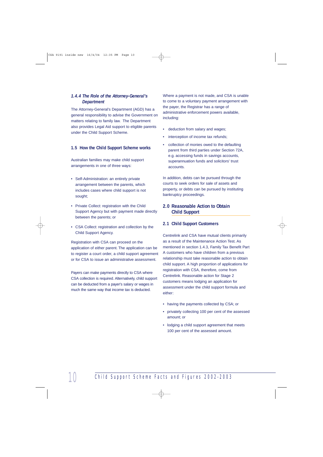#### *1.4.4 The Role of the Attorney-General's Department*

The Attorney-General's Department (AGD) has a general responsibility to advise the Government on matters relating to family law. The Department also provides Legal Aid support to eligible parents under the Child Support Scheme.

#### **1.5 How the Child Support Scheme works**

Australian families may make child support arrangements in one of three ways:

- Self-Administration: an entirely private arrangement between the parents, which includes cases where child support is not sought;
- Private Collect: registration with the Child Support Agency but with payment made directly between the parents; or
- CSA Collect: registration and collection by the Child Support Agency.

Registration with CSA can proceed on the application of either parent. The application can be to register a court order, a child support agreement or for CSA to issue an administrative assessment.

Payers can make payments directly to CSA where CSA collection is required. Alternatively, child support can be deducted from a payer's salary or wages in much the same way that income tax is deducted.

Where a payment is not made, and CSA is unable to come to a voluntary payment arrangement with the payer, the Registrar has a range of administrative enforcement powers available, including:

- deduction from salary and wages;
- interception of income tax refunds;
- collection of monies owed to the defaulting parent from third parties under Section 72A, e.g. accessing funds in savings accounts, superannuation funds and solicitors' trust accounts.

In addition, debts can be pursued through the courts to seek orders for sale of assets and property, or debts can be pursued by instituting bankruptcy proceedings.

#### **2.0 Reasonable Action to Obtain Child Support**

#### **2.1 Child Support Customers**

Centrelink and CSA have mutual clients primarily as a result of the Maintenance Action Test. As mentioned in section 1.4.3, Family Tax Benefit Part A customers who have children from a previous relationship must take reasonable action to obtain child support. A high proportion of applications for registration with CSA, therefore, come from Centrelink. Reasonable action for Stage 2 customers means lodging an application for assessment under the child support formula and either:

- having the payments collected by CSA; or
- privately collecting 100 per cent of the assessed amount; or
- lodging a child support agreement that meets 100 per cent of the assessed amount.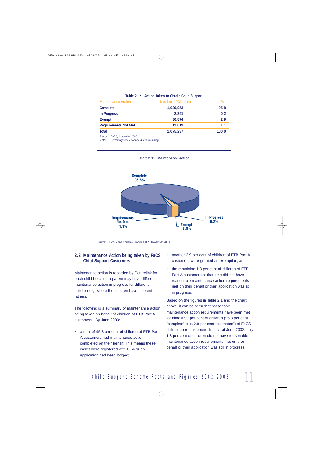|                                                                                      | Table 2.1: Action Taken to Obtain Child Support |       |
|--------------------------------------------------------------------------------------|-------------------------------------------------|-------|
| <b>Maintenance Action</b>                                                            | <b>Number of Children</b>                       | ℅     |
| <b>Complete</b>                                                                      | 1,029,953                                       | 95.8  |
| <b>In Progress</b>                                                                   | 2,391                                           | 0.2   |
| <b>Exempt</b>                                                                        | 30,874                                          | 2.9   |
| <b>Requirements Not Met</b>                                                          | 12,019                                          | 1.1   |
| Total                                                                                | 1,075,237                                       | 100.0 |
| FaCS. November 2003.<br>Source:<br>Percentages may not add due to rounding.<br>Note: |                                                 |       |



*Source: Family and Children Branch, FaCS, November 2003.*

#### **2.2 Maintenance Action being taken by FaCS Child Support Customers**

Maintenance action is recorded by Centrelink for each child because a parent may have different maintenance action in progress for different children e.g. where the children have different fathers.

The following is a summary of maintenance action being taken on behalf of children of FTB Part A customers. By June 2003:

• a total of 95.8 per cent of children of FTB Part A customers had maintenance action completed on their behalf. This means these cases were registered with CSA or an application had been lodged;

- another 2.9 per cent of children of FTB Part A customers were granted an exemption; and
- the remaining 1.3 per cent of children of FTB Part A customers at that time did not have reasonable maintenance action requirements met on their behalf or their application was still in progress.

Based on the figures in Table 2.1 and the chart above, it can be seen that reasonable maintenance action requirements have been met for almost 99 per cent of children (95.8 per cent "complete" plus 2.9 per cent "exempted") of FaCS child support customers. In fact, at June 2002, only 1.3 per cent of children did not have reasonable maintenance action requirements met on their behalf or their application was still in progress.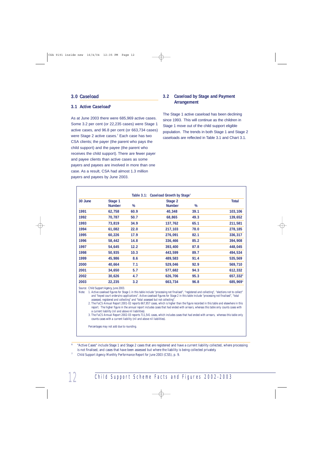#### **3.0 Caseload**

#### **3.1 Active Caseload**<sup>6</sup>

As at June 2003 there were 685,969 active cases. Some 3.2 per cent (or 22,235 cases) were Stage 1 active cases, and 96.8 per cent (or 663,734 cases) were Stage 2 active cases.<sup>7</sup> Each case has two CSA clients; the payer (the parent who pays the child support) and the payee (the parent who receives the child support). There are fewer payer and payee clients than active cases as some payers and payees are involved in more than one case. As a result, CSA had almost 1.3 million payers and payees by June 2003.

#### **3.2 Caseload by Stage and Payment Arrangement**

The Stage 1 active caseload has been declining since 1993. This will continue as the children in Stage 1 move out of the child support eligible population. The trends in both Stage 1 and Stage 2 caseloads are reflected in Table 3.1 and Chart 3.1.

|         |               |      | Table 3.1: Caseload Growth by Stage <sup>1</sup> |      |                      |
|---------|---------------|------|--------------------------------------------------|------|----------------------|
| 30 June | Stage 1       |      | Stage 2                                          |      | <b>Total</b>         |
|         | <b>Number</b> | %    | <b>Number</b>                                    | %    |                      |
| 1991    | 62,758        | 60.9 | 40,348                                           | 39.1 | 103,106              |
| 1992    | 70,787        | 50.7 | 68,865                                           | 49.3 | 139,652              |
| 1993    | 73,819        | 34.9 | 137,762                                          | 65.1 | 211,581              |
| 1994    | 61,082        | 22.0 | 217,103                                          | 78.0 | 278,185              |
| 1995    | 60,226        | 17.9 | 276,091                                          | 82.1 | 336,317              |
| 1996    | 58,442        | 14.8 | 336,466                                          | 85.2 | 394,908              |
| 1997    | 54,645        | 12.2 | 393,400                                          | 87.8 | 448,045              |
| 1998    | 50,935        | 10.3 | 443,599                                          | 89.7 | 494,534              |
| 1999    | 45,986        | 8.6  | 489,583                                          | 91.4 | 535,569              |
| 2000    | 40,664        | 7.1  | 529,046                                          | 92.9 | 569,710              |
| 2001    | 34,650        | 5.7  | 577,682                                          | 94.3 | 612,332              |
| 2002    | 30,626        | 4.7  | 626,706                                          | 95.3 | 657,332 <sup>2</sup> |
| 2003    | 22,235        | 3.2  | 663,734                                          | 96.8 | 685,969 <sup>3</sup> |

*Source: Child Support Agency, June 2003.*

*Note: 1. Active caseload figures for Stage 1 in this table include "processing not finalised", "registered and collecting", "elections not to collect" and "keyed court orders/no applications". Active caseload figures for Stage 2 in this table include "processing not finalised", "total assessed, registered and collecting" and "total assessed but not collecting".*

*2. The FaCS Annual Report 2001-02 reports 667,957 cases, which is higher than the figure recorded in this table and elsewhere in this report. The higher figure in the annual report includes cases that had ended with arrears, whereas this table only counts cases with a current liability (nil and above nil liabilities).*

*3. The FaCS Annual Report 2002-03 reports 711,541 cases, which includes cases that had ended with arrears, whereas this table only counts cases with a current liability (nil and above nil liabilities).*

*Percentages may not add due to rounding.*

<sup>6</sup> "Active Cases" include Stage 1 and Stage 2 cases that are registered and have a current liability collected, where processing is not finalised, and cases that have been assessed but where the liability is being collected privately.

<sup>7</sup> *Child Support Agency Monthly Performance Report for June 2003* (CS5), p. 9.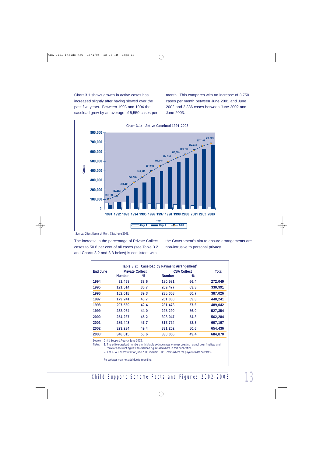Chart 3.1 shows growth in active cases has increased slightly after having slowed over the past five years. Between 1993 and 1994 the caseload grew by an average of 5,550 cases per month. This compares with an increase of 3,750 cases per month between June 2001 and June 2002 and 2,386 cases between June 2002 and June 2003.



*Source: Client Research Unit, CSA, June 2003.*

The increase in the percentage of Private Collect cases to 50.6 per cent of all cases (see Table 3.2 and Charts 3.2 and 3.3 below) is consistent with

the Government's aim to ensure arrangements are non-intrusive to personal privacy.

|                   |               |                        | Table 3.2: Caseload by Payment Arrangement <sup>1</sup> |                    |              |
|-------------------|---------------|------------------------|---------------------------------------------------------|--------------------|--------------|
| <b>End June</b>   |               | <b>Private Collect</b> |                                                         | <b>CSA Collect</b> | <b>Total</b> |
|                   | <b>Number</b> | %                      | <b>Number</b>                                           | ℅                  |              |
| 1994              | 91,468        | 33.6                   | 180,581                                                 | 66.4               | 272,049      |
| 1995              | 121,514       | 36.7                   | 209,477                                                 | 63.3               | 330,991      |
| 1996              | 152,018       | 39.3                   | 235,008                                                 | 60.7               | 387,026      |
| 1997              | 179,241       | 40.7                   | 261,000                                                 | 59.3               | 440,241      |
| 1998              | 207,569       | 42.4                   | 281,473                                                 | 57.6               | 489,042      |
| 1999              | 232.064       | 44.0                   | 295,290                                                 | 56.0               | 527.354      |
| 2000              | 254,237       | 45.2                   | 308,047                                                 | 54.8               | 562,284      |
| 2001              | 289,443       | 47.7                   | 317,724                                                 | 52.3               | 607,167      |
| 2002              | 323,234       | 49.4                   | 331,202                                                 | 50.6               | 654,436      |
| 2003 <sup>2</sup> | 346,815       | 50.6                   | 338,055                                                 | 49.4               | 684,870      |
|                   |               |                        |                                                         |                    |              |

*Source: Child Support Agency, June 2002.*

*Notes: 1. The active caseload numbers in this table exclude cases where processing has not been finalised and therefore does not agree with caseload figures elsewhere in this publication.*

*2. The CSA Collect total for June 2003 includes 1,051 cases where the payee resides overseas..*

*Percentages may not add due to rounding.*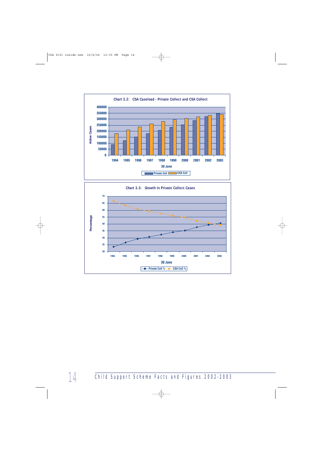

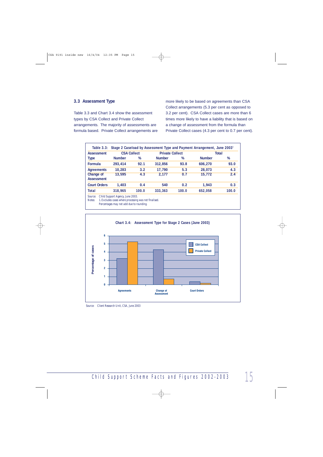#### **3.3 Assessment Type**

Table 3.3 and Chart 3.4 show the assessment types by CSA Collect and Private Collect arrangements. The majority of assessments are formula based. Private Collect arrangements are more likely to be based on agreements than CSA Collect arrangements (5.3 per cent as opposed to 3.2 per cent). CSA Collect cases are more than 6 times more likely to have a liability that is based on a change of assessment from the formula than Private Collect cases (4.3 per cent to 0.7 per cent).

| <b>Assessment</b>                     | <b>CSA Collect</b> |       | <b>Private Collect</b> |       | <b>Total</b>  |       |  |
|---------------------------------------|--------------------|-------|------------------------|-------|---------------|-------|--|
| <b>Type</b>                           | <b>Number</b>      | %     | <b>Number</b>          | %     | <b>Number</b> | %     |  |
| <b>Formula</b>                        | 293,414            | 92.1  | 312,856                | 93.8  | 606,270       | 93.0  |  |
| <b>Agreements</b>                     | 10,283             | 3.2   | 17,790                 | 5.3   | 28,073        | 4.3   |  |
| <b>Change of</b><br><b>Assessment</b> | 13,595             | 4.3   | 2,177                  | 0.7   | 15,772        | 2.4   |  |
| <b>Court Orders</b>                   | 1,403              | 0.4   | 540                    | 0.2   | 1.943         | 0.3   |  |
| <b>Total</b>                          | 318,965            | 100.0 | 333,363                | 100.0 | 652,058       | 100.0 |  |

*Notes: 1.Excludes cases where processing was not finalised. Percentages may not add due to rounding.*

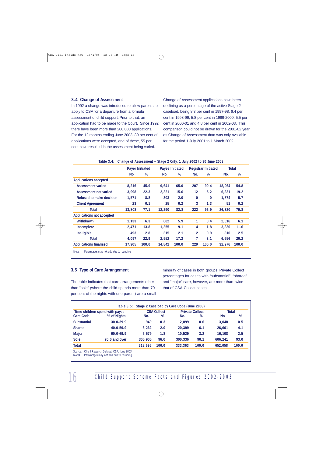#### **3.4 Change of Assessment**

In 1992 a change was introduced to allow parents to apply to CSA for a departure from a formula assessment of child support. Prior to that, an application had to be made to the Court. Since 1992 there have been more than 200,000 applications. For the 12 months ending June 2003, 80 per cent of applications were accepted, and of these, 55 per cent have resulted in the assessment being varied.

Change of Assessment applications have been declining as a percentage of the active Stage 2 caseload, being 8.3 per cent in 1997-98, 6.4 per cent in 1998-99, 5.8 per cent in 1999-2000, 5.5 per cent in 2000-01 and 4.8 per cent in 2002-03. This comparison could not be drawn for the 2001-02 year as Change of Assessment data was only available for the period 1 July 2001 to 1 March 2002.

|                                  | <b>Payer Initiated</b> |       | <b>Payee Initiated</b> |       | <b>Registrar Initiated</b> |          | Total  |       |
|----------------------------------|------------------------|-------|------------------------|-------|----------------------------|----------|--------|-------|
|                                  | No.                    | %     | No.                    | $\%$  | No.                        | %        | No.    | %     |
| <b>Applications accepted</b>     |                        |       |                        |       |                            |          |        |       |
| <b>Assessment varied</b>         | 8,216                  | 45.9  | 9,641                  | 65.0  | 207                        | 90.4     | 18,064 | 54.8  |
| Assessment not varied            | 3,998                  | 22.3  | 2,321                  | 15.6  | 12                         | 5.2      | 6,331  | 19.2  |
| Refused to make decision         | 1,571                  | 8.8   | 303                    | 2.0   | $\bf{0}$                   | $\bf{0}$ | 1,874  | 5.7   |
| <b>Client Agreement</b>          | 23                     | 0.1   | 25                     | 0.2   | 3                          | 1.3      | 51     | 0.2   |
| Total                            | 13,808                 | 77.1  | 12,290                 | 82.8  | 222                        | 96.9     | 26,320 | 79.8  |
| <b>Applications not accepted</b> |                        |       |                        |       |                            |          |        |       |
| Withdrawn                        | 1,133                  | 6.3   | 882                    | 5.9   | 1                          | 0.4      | 2,016  | 6.1   |
| Incomplete                       | 2,471                  | 13.8  | 1,355                  | 9.1   | 4                          | 1.8      | 3,830  | 11.6  |
| Ineligible                       | 493                    | 2.8   | 315                    | 2.1   | $\overline{2}$             | 0.9      | 810    | 2.5   |
| Total                            | 4,097                  | 22.9  | 2,552                  | 17.2  | 7                          | 3.1      | 6,656  | 20.2  |
| <b>Applications finalised</b>    | 17,905                 | 100.0 | 14,842                 | 100.0 | 229                        | 100.0    | 32,976 | 100.0 |

#### **3.5 Type of Care Arrangement**

The table indicates that care arrangements other than "sole" (where the child spends more than 70 per cent of the nights with one parent) are a small minority of cases in both groups. Private Collect percentages for cases with "substantial", "shared" and "major" care, however, are more than twice that of CSA Collect cases.

| Time children spend with payee |               | <b>CSA Collect</b> |       |         | <b>Private Collect</b> |           | <b>Total</b> |  |
|--------------------------------|---------------|--------------------|-------|---------|------------------------|-----------|--------------|--|
| <b>Care Code</b>               | % of Nights   | No.                | %     | No.     | %                      | <b>No</b> | %            |  |
| <b>Substantial</b>             | 30.0-39.9     | 949                | 0.3   | 2.099   | 0.6                    | 3,048     | 0.5          |  |
| <b>Shared</b>                  | 40.0-59.9     | 6,262              | 2.0   | 20,399  | 6.1                    | 26,661    | 4.1          |  |
| <b>Major</b>                   | 60.0-69.9     | 5,579              | 1.8   | 10,529  | 3.2                    | 16,108    | 2.5          |  |
| <b>Sole</b>                    | 70.0 and over | 305,905            | 96.0  | 300,336 | 90.1                   | 606,241   | 93.0         |  |
| <b>Total</b>                   |               | 318,695            | 100.0 | 333,363 | 100.0                  | 652,058   | 100.0        |  |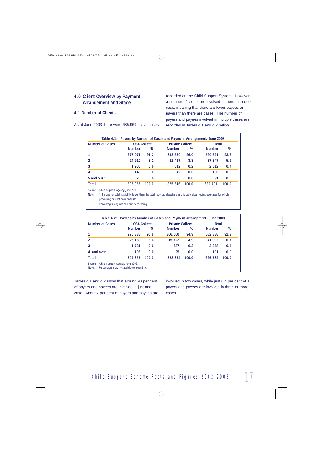#### **4.0 Client Overview by Payment Arrangement and Stage**

#### **4.1 Number of Clients**

As at June 2003 there were 685,969 active cases

recorded on the Child Support System. However, a number of clients are involved in more than one case, meaning that there are fewer payees or payers than there are cases. The number of payers and payees involved in multiple cases are recorded in Tables 4.1 and 4.2 below.

| Table 4.1: Payers by Number of Cases and Payment Arrangement, June 2003 |       |                    |       |                        |       |
|-------------------------------------------------------------------------|-------|--------------------|-------|------------------------|-------|
|                                                                         |       |                    |       | <b>Total</b>           |       |
| <b>Number</b>                                                           | ℅     | <b>Number</b>      | %     | <b>Number</b>          | %     |
| 278,071                                                                 | 91.2  | 312,550            | 96.0  | 590,621                | 93.6  |
| 24,910                                                                  | 8.2   | 12,437             | 3.8   | 37,347                 | 5.9   |
| 1,900                                                                   | 0.6   | 612                | 0.2   | 2,512                  | 0.4   |
| 148                                                                     | 0.0   | 42                 | 0.0   | 190                    | 0.0   |
| 26                                                                      | 0.0   | 5                  | 0.0   | 31                     | 0.0   |
| 305,055                                                                 | 100.0 | 325,646            | 100.0 | 630,701                | 100.0 |
|                                                                         |       | <b>CSA Collect</b> |       | <b>Private Collect</b> |       |

*Source: Child Support Agency, June 2003.*

*Note: 1.This payer total is slightly lower than the total reported elsewhere as this table does not include cases for which processing has not been finalised.*

*Percentages may not add due to rounding.*

|                        | Table 4.2: Payees by Number of Cases and Payment Arrangement, June 2003      |       |                        |       |               |       |
|------------------------|------------------------------------------------------------------------------|-------|------------------------|-------|---------------|-------|
| <b>Number of Cases</b> | <b>CSA Collect</b>                                                           |       | <b>Private Collect</b> |       | <b>Total</b>  |       |
|                        | <b>Number</b>                                                                | %     | <b>Number</b>          | %     | <b>Number</b> | %     |
|                        | 276,338                                                                      | 90.8  | 306,000                | 94.9  | 582,338       | 92.9  |
| $\overline{2}$         | 26,180                                                                       | 8.6   | 15,722                 | 4.9   | 41,902        | 6.7   |
| 3                      | 1.731                                                                        | 0.6   | 637                    | 0.2   | 2,368         | 0.4   |
| 4 and over             | 106                                                                          | 0.0   | 25                     | 0.0   | 131           | 0.0   |
| <b>Total</b>           | 304,355                                                                      | 100.0 | 322,384                | 100.0 | 626,739       | 100.0 |
| Source:<br>Notes:      | Child Support Agency, June 2003.<br>Percentages may not add due to rounding. |       |                        |       |               |       |

Tables 4.1 and 4.2 show that around 93 per cent of payers and payees are involved in just one case. About 7 per cent of payers and payees are involved in two cases, while just 0.4 per cent of all payers and payees are involved in three or more cases.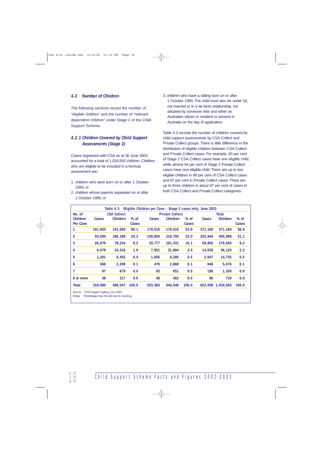#### **4.2 Number of Children**

The following sections record the number of "eligible children" and the number of "relevant dependent children" under Stage 2 of the Child Support Scheme.

#### *4.2.1 Children Covered by Child Support Assessments (Stage 2)*

Cases registered with CSA as at 30 June 2003 accounted for a total of 1,034,593 children. Children who are eligible to be included in a formula assessment are:

- 1. children who were born on or after 1 October 1989; or
- 2. children whose parents separated on or after 1 October 1989; or

3. children who have a sibling born on or after 1 October 1989. The child must also be under 18, not married or in a de facto relationship, not adopted by someone else and either an Australian citizen or resident or present in Australia on the day of application.

Table 4.3 records the number of children covered by child support assessments by CSA Collect and Private Collect groups. There is little difference in the distribution of eligible children between CSA Collect and Private Collect cases. For example, 60 per cent of Stage 2 CSA Collect cases have one eligible child, while almost 54 per cent of Stage 2 Private Collect cases have one eligible child. There are up to two eligible children in 89 per cent of CSA Collect cases and 87 per cent in Private Collect cases. There are up to three children in about 97 per cent of cases in both CSA Collect and Private Collect categories.

| No. of                      |         | <b>CSA Collect</b> |               |         | <b>Private Collect</b> |               |         | <b>Total</b>      |                 |
|-----------------------------|---------|--------------------|---------------|---------|------------------------|---------------|---------|-------------------|-----------------|
| <b>Children</b><br>Per Case | Cases   | <b>Children</b>    | % of<br>Cases | Cases   | <b>Children</b>        | % of<br>Cases | Cases   | <b>Children</b>   | $%$ of<br>Cases |
|                             | 191,650 | 191,650            | 60.1          | 179,510 | 179,510                | 53.8          | 371,160 | 371,160           | 56.9            |
| 2                           | 93,094  | 186,188            | 29.2          | 109,850 | 219,700                | 33.0          | 202,944 | 405,888           | 31.1            |
| 3                           | 26,078  | 78,234             | 8.2           | 33,777  | 101,331                | 10.1          | 59,855  | 179,565           | 9.2             |
| 4                           | 6,079   | 24,316             | 1.9           | 7,951   | 31,804                 | 2.4           | 14,030  | 56,120            | 2.2             |
| 5                           | 1,291   | 6,455              | 0.4           | 1,656   | 8,280                  | 0.5           | 2,947   | 14,735            | 0.5             |
| 6                           | 368     | 2,208              | 0.1           | 478     | 2,868                  | 0.1           | 846     | 5,076             | 0.1             |
| 7                           | 97      | 679                | 0.0           | 93      | 651                    | 0.0           | 190     | 1,330             | 0.0             |
| 8 or more                   | 38      | 317                | 0.0           | 48      | 402                    | 0.0           | 86      | 719               | 0.0             |
| <b>Total</b>                | 318,695 | 490,047            | 100.0         | 333,363 | 544,546                | 100.0         |         | 652,058 1,034,593 | 100.0           |

*Notes: Percentages may not add due to rounding.*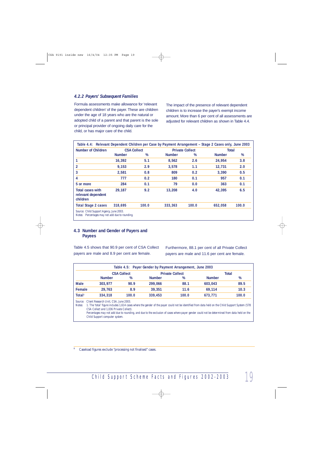#### *4.2.2 Payers' Subsequent Families*

Formula assessments make allowance for 'relevant dependent children' of the payer. These are children under the age of 18 years who are the natural or adopted child of a parent and that parent is the sole or principal provider of ongoing daily care for the child, or has major care of the child.

The impact of the presence of relevant dependent children is to increase the payer's exempt income amount. More than 6 per cent of all assessments are adjusted for relevant children as shown in Table 4.4.

| Table 4.4:                                                                                     |                    |       | Relevant Dependent Children per Case by Payment Arrangement - Stage 2 Cases only, June 2003 |                        |               |              |  |
|------------------------------------------------------------------------------------------------|--------------------|-------|---------------------------------------------------------------------------------------------|------------------------|---------------|--------------|--|
| <b>Number of Children</b>                                                                      | <b>CSA Collect</b> |       |                                                                                             | <b>Private Collect</b> |               | <b>Total</b> |  |
|                                                                                                | <b>Number</b>      | %     | <b>Number</b>                                                                               | %                      | <b>Number</b> | %            |  |
|                                                                                                | 16,392             | 5.1   | 8,562                                                                                       | 2.6                    | 24,954        | 3.8          |  |
| 2                                                                                              | 9,153              | 2.9   | 3,578                                                                                       | 1.1                    | 12,731        | 2.0          |  |
| 3                                                                                              | 2,581              | 0.8   | 809                                                                                         | 0.2                    | 3,390         | 0.5          |  |
| 4                                                                                              | 777                | 0.2   | 180                                                                                         | 0.1                    | 957           | 0.1          |  |
| 5 or more                                                                                      | 284                | 0.1   | 79                                                                                          | 0.0                    | 363           | 0.1          |  |
| <b>Total cases with</b><br>relevant dependent<br>children                                      | 29,187             | 9.2   | 13,208                                                                                      | 4.0                    | 42,395        | 6.5          |  |
| <b>Total Stage 2 cases</b>                                                                     | 318,695            | 100.0 | 333,363                                                                                     | 100.0                  | 652,058       | 100.0        |  |
| Source: Child Support Agency, June 2003.<br>Percentages may not add due to rounding.<br>Notes: |                    |       |                                                                                             |                        |               |              |  |

#### **4.3 Number and Gender of Payers and Payees**

Table 4.5 shows that 90.9 per cent of CSA Collect payers are male and 8.9 per cent are female.

Furthermore, 88.1 per cent of all Private Collect payers are male and 11.6 per cent are female.

|                    |               | <b>CSA Collect</b> |               | <b>Private Collect</b> |               | Total |
|--------------------|---------------|--------------------|---------------|------------------------|---------------|-------|
|                    | <b>Number</b> | %                  | <b>Number</b> | %                      | <b>Number</b> | %     |
| <b>Male</b>        | 303,977       | 90.9               | 299,066       | 88.1                   | 603,043       | 89.5  |
| Female             | 29.763        | 8.9                | 39,351        | 11.6                   | 69.114        | 10.3  |
| Total <sup>1</sup> | 334,318       | 100.0              | 339,453       | 100.0                  | 673,771       | 100.0 |

*Notes: 1. The 'total' figure includes 1,614 cases where the gender of the payer could not be identified from data held on the Child Support System (578 CSA Collect and 1,036 Private Collect).*

*Percentages may not add due to rounding, and due to the exclusion of cases where payer gender could not be determined from data held on the Child Support computer system.*

<sup>8</sup> Caseload figures exclude "processing not finalised" cases.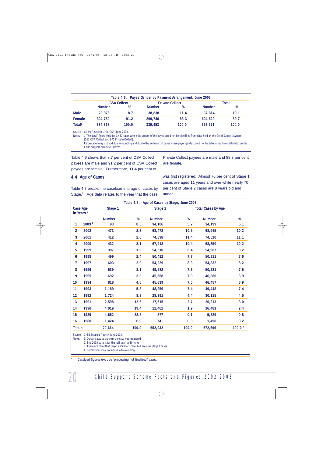|                    |               | <b>CSA Collect</b> |               | <b>Private Collect</b> |               | <b>Total</b> |
|--------------------|---------------|--------------------|---------------|------------------------|---------------|--------------|
|                    | <b>Number</b> | ℅                  | <b>Number</b> | %                      | <b>Number</b> | %            |
| <b>Male</b>        | 28,976        | 8.7                | 38,838        | 11.4                   | 67.814        | 10.1         |
| Female             | 304,780       | 91.2               | 299,740       | 88.3                   | 604,520       | 89.7         |
| Total <sup>1</sup> | 334,318       | 100.0              | 339,453       | 100.0                  | 673.771       | 100.0        |

*Notes: 1.The 'total' figure includes 1,437 cases where the gender of the payee could not be identified from data held on the Child Support System (562 CSA Collect and 875 Private Collect).*

*Percentages may not add due to rounding and due to the exclusion of cases where payer gender could not be determined from data held on the Child Support computer system.*

Table 4.6 shows that 8.7 per cent of CSA Collect payees are male and 91.2 per cent of CSA Collect payees are female. Furthermore, 11.4 per cent of

Private Collect payees are male and 88.3 per cent are female.

#### **4.4 Age of Cases**

Table 4.7 breaks the caseload into age of cases by Stage.<sup>8</sup> Age data relates to the year that the case under.

was first registered. Almost 76 per cent of Stage 1 cases are aged 11 years and over while nearly 70 per cent of Stage 2 cases are 8 years old and

|                         |                        |                            |       |                 | Table 4.7: Age of Cases by Stage, June 2003 |                           |        |
|-------------------------|------------------------|----------------------------|-------|-----------------|---------------------------------------------|---------------------------|--------|
|                         | <b>Case Age</b>        | Stage 1                    |       | Stage 2         |                                             | <b>Total Cases by Age</b> |        |
|                         | in Years. <sup>1</sup> |                            |       |                 |                                             |                           |        |
|                         |                        | <b>Number</b>              | %     | <b>Number</b>   | %                                           | <b>Number</b>             | %      |
| $\mathbf{1}$            | 2003 <sup>2</sup>      | 93                         | 0.5   | 34,106          | 5.2                                         | 34,199                    | 5.1    |
| $\overline{2}$          | 2002                   | 473                        | 2.3   | 68,472          | 10.5                                        | 68,945                    | 10.2   |
| 3                       | 2001                   | 412                        | 2.0   | 74,098          | 11.4                                        | 74,510                    | 11.1   |
| $\overline{\mathbf{4}}$ | 2000                   | 432                        | 2.1   | 67,918          | 10.4                                        | 68,350                    | 10.2   |
| 5                       | 1999                   | 397                        | 1.9   | 54,510          | 8.4                                         | 54,907                    | 8.2    |
| 6                       | 1998                   | 499                        | 2.4   | 50,412          | 7.7                                         | 50,911                    | 7.6    |
| $\overline{7}$          | 1997                   | 603                        | 2.9   | 54,229          | 8.3                                         | 54,832                    | 8.2    |
| 8                       | 1996                   | 639                        | 3.1   | 49,582          | 7.6                                         | 50,221                    | 7.5    |
| 9                       | 1995                   | 692                        | 3.3   | 45,688          | 7.0                                         | 46,380                    | 6.9    |
| 10                      | 1994                   | 818                        | 4.0   | 45,639          | 7.0                                         | 46,457                    | 6.9    |
| 11                      | 1993                   | 1,189                      | 5.8   | 48,259          | 7.4                                         | 49,448                    | 7.4    |
| 12                      | 1992                   | 1,724                      | 8.3   | 28,391          | 4.4                                         | 30,115                    | 4.5    |
| 13                      | 1991                   | 2,598                      | 12.6  | 17,615          | 2.7                                         | 20,213                    | 3.0    |
| 14                      | 1990                   | 4,019                      | 19.4  | 12,462          | 1.9                                         | 16,481                    | 2.4    |
| 15                      | 1989                   | 4,652                      | 22.5  | 577             | 0.1                                         | 5,229                     | 0.8    |
| 16                      | 1988                   | 1,424                      | 6.9   | 74 <sup>3</sup> | 0.0                                         | 1,498                     | 0.2    |
| <b>Totals</b>           |                        | 20,664                     | 100.0 | 652,032         | 100.0                                       | 672,696                   | 100.04 |
|                         |                        | $0.010 - 1$ $1 - 7 - 0000$ |       |                 |                                             |                           |        |

*Source: Child Support Agency, June 2003.*

*Notes: 1. Data relates to the year the case was registered.*

*2. The 2003 data is for the half year to 30 June.*

*3. These are cases that began as Stage 1 cases but are now Stage 2 cases.*

*4. Percentages may not add due to rounding.*

<sup>8</sup> Caseload figures exclude "processing not finalised" cases.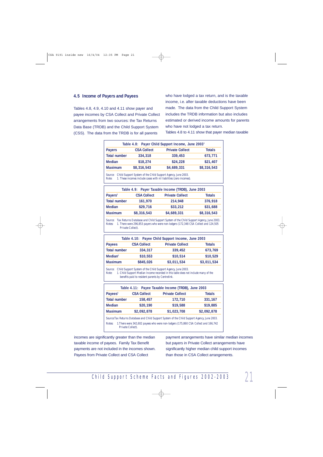#### **4.5 Income of Payers and Payees**

Tables 4.8, 4.9, 4.10 and 4.11 show payer and payee incomes by CSA Collect and Private Collect arrangements from two sources: the Tax Returns Data Base (TRDB) and the Child Support System (CSS). The data from the TRDB is for all parents

who have lodged a tax return, and is the taxable income, i.e. after taxable deductions have been made. The data from the Child Support System includes the TRDB information but also includes estimated or derived income amounts for parents who have not lodged a tax return.

Tables 4.8 to 4.11 show that payer median taxable

| Table 4.8: Payer Child Support Income, June 2003 <sup>1</sup> |                    |                        |               |  |  |  |  |
|---------------------------------------------------------------|--------------------|------------------------|---------------|--|--|--|--|
| <b>Payers</b>                                                 | <b>CSA Collect</b> | <b>Private Collect</b> | <b>Totals</b> |  |  |  |  |
| <b>Total number</b>                                           | 334,318            | 339,453                | 673,771       |  |  |  |  |
| <b>Median</b>                                                 | \$18,274           | \$24,228               | \$21,407      |  |  |  |  |
| <b>Maximum</b>                                                | \$8,316,543        | \$4,689,331            | \$8,316,543   |  |  |  |  |

*Source: Child Support System of the Child Support Agency, June 2003. Note: 1. These incomes include cases with nil liabilities (zero incomes).*

| Table 4.9: Payer Taxable Income (TRDB), June 2003 |                    |                        |               |  |  |  |  |
|---------------------------------------------------|--------------------|------------------------|---------------|--|--|--|--|
| Payers <sup>1</sup>                               | <b>CSA Collect</b> | <b>Private Collect</b> | <b>Totals</b> |  |  |  |  |
| <b>Total number</b>                               | 161,970            | 214,948                | 376,918       |  |  |  |  |
| <b>Median</b>                                     | \$29,716           | \$33,212               | \$31,688      |  |  |  |  |
| <b>Maximum</b>                                    | \$8,316,543        | \$4,689,331            | \$8,316,543   |  |  |  |  |

*Source: Tax Returns Database and Child Support System of the Child Support Agency, June 2003. Notes: 1. There were 296,853 payers who were non-lodgers (172,348 CSA Collect and 124,505 Private Collect).*

| Table 4.10: Payee Child Support Income, June 2003 |                    |                        |               |  |  |  |
|---------------------------------------------------|--------------------|------------------------|---------------|--|--|--|
| <b>Payees</b>                                     | <b>CSA Collect</b> | <b>Private Collect</b> | <b>Totals</b> |  |  |  |
| <b>Total number</b>                               | 334,317            | 339,452                | 673,769       |  |  |  |
| Median <sup>1</sup>                               | \$10,553           | \$10,514               | \$10,529      |  |  |  |
| <b>Maximum</b>                                    | \$845,026          | \$3,011,534            | \$3,011,534   |  |  |  |

*Source: Child Support System of the Child Support Agency, June 2003. Note: 1. Child Support Median Income recorded in this table does not include many of the benefits paid to resident parents by Centrelink.*

| Table 4.11: Payee Taxable Income (TRDB), June 2003 |                    |                        |               |  |  |  |  |
|----------------------------------------------------|--------------------|------------------------|---------------|--|--|--|--|
| Payees <sup>1</sup>                                | <b>CSA Collect</b> | <b>Private Collect</b> | <b>Totals</b> |  |  |  |  |
| <b>Total number</b>                                | 158,457            | 172,710                | 331,167       |  |  |  |  |
| <b>Median</b>                                      | \$20,190           | \$19,588               | \$19,885      |  |  |  |  |
| <b>Maximum</b>                                     | \$2,092,878        | \$1,023,708            | \$2,092,878   |  |  |  |  |

*Source:Tax Returns Database and Child Support System of the Child Support Agency, June 2003. Notes: 1.There were 342,602 payees who were non-lodgers (175,860 CSA Collect and 166,742 Private Collect).*

incomes are significantly greater than the median taxable income of payees. Family Tax Benefit payments are not included in the incomes shown. Payees from Private Collect and CSA Collect

payment arrangements have similar median incomes but payers in Private Collect arrangements have significantly higher median child support incomes than those in CSA Collect arrangements.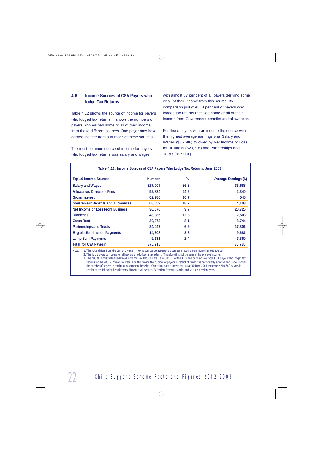#### **4.6 Income Sources of CSA Payers who lodge Tax Returns**

Table 4.12 shows the source of income for payers who lodged tax returns. It shows the numbers of payers who earned some or all of their income from these different sources. One payer may have earned income from a number of these sources.

The most common source of income for payers who lodged tax returns was salary and wages,

with almost 87 per cent of all payers deriving some or all of their income from this source. By comparison just over 18 per cent of payers who lodged tax returns received some or all of their income from Government benefits and allowances.

For those payers with an income the source with the highest average earnings was Salary and Wages (\$36,688) followed by Net Income or Loss for Business (\$20,726) and Partnerships and Trusts (\$17,301).

| Table 4.12: Income Sources of CSA Payers Who Lodge Tax Returns, June 2003 <sup>3</sup> |               |      |                       |  |  |  |  |
|----------------------------------------------------------------------------------------|---------------|------|-----------------------|--|--|--|--|
| <b>Top 10 Income Sources</b>                                                           | <b>Number</b> | %    | Average Earnings (\$) |  |  |  |  |
| <b>Salary and Wages</b>                                                                | 327,007       | 86.8 | 36,688                |  |  |  |  |
| <b>Allowance, Director's Fees</b>                                                      | 92,834        | 24.6 | 2,340                 |  |  |  |  |
| <b>Gross Interest</b>                                                                  | 62,986        | 16.7 | 545                   |  |  |  |  |
| <b>Government Benefits and Allowances</b>                                              | 68,659        | 18.2 | 4,103                 |  |  |  |  |
| Net Income or Loss From Business                                                       | 36,670        | 9.7  | 20,726                |  |  |  |  |
| <b>Dividends</b>                                                                       | 48,385        | 12.8 | 2,503                 |  |  |  |  |
| <b>Gross Rent</b>                                                                      | 30,373        | 8.1  | 8,744                 |  |  |  |  |
| <b>Partnerships and Trusts</b>                                                         | 24,447        | 6.5  | 17,301                |  |  |  |  |
| <b>Eligible Termination Payments</b>                                                   | 14,308        | 3.8  | 9,681                 |  |  |  |  |
| <b>Lump Sum Payments</b>                                                               | 9.131         | 2.4  | 7,360                 |  |  |  |  |
| <b>Total for CSA Payers<sup>1</sup></b>                                                | 376,918       |      | $35,785^2$            |  |  |  |  |

*Note: 1. This total differs from the sum of the main income sources because payers can earn income from more than one source*

*2. This is the average income for all payers who lodged a tax return. Therefore it is not the sum of the average incomes* 

*3. The results in this table are derived from the Tax Return Data Base (TRDB) of the ATO and only include those CSA payers who lodged tax returns for the 2001-02 financial year. For this reason the number of payers in receipt of benefits is particularly affected and under reports the number of payers in receipt of government benefits. Centrelink data suggests that as at 30 June 2003 there were 200,760 payers in receipt of the following benefit types: Newstart Allowance, Parenting Payment Single, and various pension types.*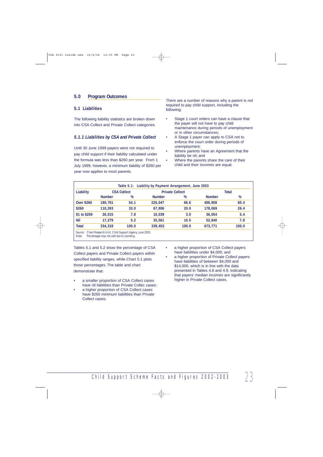#### **5.0 Program Outcomes**

#### **5.1 Liabilities**

The following liability statistics are broken down into CSA Collect and Private Collect categories.

#### *5.1.1 Liabilities by CSA and Private Collect*

Until 30 June 1999 payers were not required to pay child support if their liability calculated under the formula was less than \$260 per year. From 1 July 1999, however, a minimum liability of \$260 per year now applies to most parents.

There are a number of reasons why a parent is not required to pay child support, including the following:

- Stage 1 court orders can have a clause that the payer will not have to pay child maintenance during periods of unemployment or in other circumstances;
- A Stage 1 payer can apply to CSA not to enforce the court order during periods of unemployment;
- Where parents have an Agreement that the liability be nil; and
- Where the parents share the care of their child and their incomes are equal.

| Liability         |               | <b>CSA Collect</b> | <b>Private Collect</b> |       | <b>Total</b>  |       |  |
|-------------------|---------------|--------------------|------------------------|-------|---------------|-------|--|
|                   | <b>Number</b> | %                  | <b>Number</b>          | %     | <b>Number</b> | %     |  |
| <b>Over \$260</b> | 180,761       | 54.1               | 226,047                | 66.6  | 406,808       | 60.4  |  |
| \$260             | 110,263       | 33.0               | 67,806                 | 20.0  | 178,069       | 26.4  |  |
| \$1 to \$259      | 26,015        | 7.8                | 10.039                 | 3.0   | 36,054        | 5.4   |  |
| <b>Nil</b>        | 17,279        | 5.2                | 35,561                 | 10.5  | 52,840        | 7.8   |  |
| <b>Total</b>      | 334,318       | 100.0              | 339,453                | 100.0 | 673,771       | 100.0 |  |

Tables 5.1 and 5.2 show the percentage of CSA Collect payers and Private Collect payers within specified liability ranges, while Chart 5.1 plots those percentages. The table and chart demonstrate that:

- a smaller proportion of CSA Collect cases have nil liabilities than Private Collec cases;
- a higher proportion of CSA Collect cases have \$260 minimum liabilities than Private Collect cases;
- a higher proportion of CSA Collect payers have liabilities under \$4,000; and
- a higher proportion of Private Collect payers have liabilities of between \$4,000 and \$14,000, which is in line with the data presented in Tables 4.8 and 4.9, indicating that payers' median incomes are significantly higher in Private Collect cases.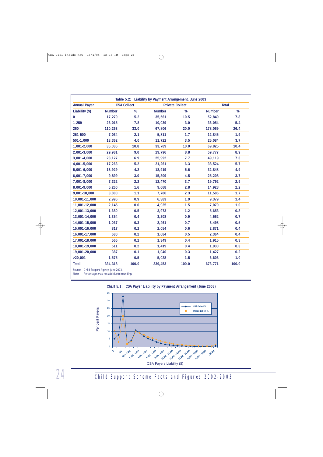| Table 5.2: Liability by Payment Arrangement, June 2003 |               |                    |                    |                        |               |              |  |
|--------------------------------------------------------|---------------|--------------------|--------------------|------------------------|---------------|--------------|--|
| <b>Annual Payer</b>                                    |               | <b>CSA Collect</b> |                    | <b>Private Collect</b> |               | <b>Total</b> |  |
| Liability (\$)                                         | <b>Number</b> | %                  | <b>Number</b><br>% |                        | <b>Number</b> | %            |  |
| 0                                                      | 17,279        | 5.2                | 35,561             | 10.5                   | 52,840        | 7.8          |  |
| $1 - 259$                                              | 26,015        | 7.8                | 10,039             | 3.0                    | 36,054        | 5.4          |  |
| 260                                                    | 110,263       | 33.0               | 67,806             | 20.0                   | 178,069       | 26.4         |  |
| 261-500                                                | 7,034         | 2.1                | 5,811              | 1.7                    | 12,845        | 1.9          |  |
| 501-1,000                                              | 13,362        | 4.0                | 11,722             | 3.5                    | 25,084        | 3.7          |  |
| 1,001-2,000                                            | 36,036        | 10.8               | 33,789             | 10.0                   | 69,825        | 10.4         |  |
| 2,001-3,000                                            | 29,981        | 9.0                | 29,796             | 8.8                    | 59,777        | 8.9          |  |
| 3,001-4,000                                            | 23,127        | 6.9                | 25,992             | 7.7                    | 49,119        | 7.3          |  |
| 4,001-5,000                                            | 17,263        | 5.2                | 21,261             | 6.3                    | 38,524        | 5.7          |  |
| 5,001-6,000                                            | 13,929        | 4.2                | 18,919             | 5.6                    | 32,848        | 4.9          |  |
| 6,001-7,000                                            | 9,899         | 3.0                | 15,309             | 4.5                    | 25,208        | 3.7          |  |
| 7,001-8,000                                            | 7,322         | 2.2                | 12,470             | 3.7                    | 19,792        | 2.9          |  |
| 8,001-9,000                                            | 5,260         | 1.6                | 9,668              | 2.8                    | 14,928        | 2.2          |  |
| 9,001-10,000                                           | 3,800         | 1.1                | 7,786              | 2.3                    | 11,586        | 1.7          |  |
| 10,001-11,000                                          | 2,996         | 0.9                | 6,383              | 1.9                    | 9,379         | 1.4          |  |
| 11,001-12,000                                          | 2,145         | 0.6                | 4,925              | 1.5                    | 7,070         | 1.0          |  |
| 12,001-13,000                                          | 1,680         | 0.5                | 3,973              | 1.2                    | 5,653         | 0.8          |  |
| 13,001-14,000                                          | 1,354         | 0.4                | 3,208              | 0.9                    | 4,562         | 0.7          |  |
| 14,001-15,000                                          | 1,037         | 0.3                | 2,461              | 0.7                    | 3,498         | 0.5          |  |
| 15,001-16,000                                          | 817           | 0.2                | 2,054              | 0.6                    | 2,871         | 0.4          |  |
| 16,001-17,000                                          | 680           | 0.2                | 1,684              | 0.5                    | 2,364         | 0.4          |  |
| 17,001-18,000                                          | 566           | 0.2                | 1,349              | 0.4                    | 1,915         | 0.3          |  |
| 18,001-19,000                                          | 511           | 0.2                | 1,419              | 0.4                    | 1,930         | 0.3          |  |
| 19,001-20,000                                          | 387           | 0.1                | 1,040              | 0.3                    | 1,427         | 0.2          |  |
| >20,001                                                | 1,575         | 0.5                | 5,028              | 1.5                    | 6,603         | 1.0          |  |
| <b>Total</b>                                           | 334,318       | 100.0              | 339,453            | 100.0                  | 673,771       | 100.0        |  |

*Source: Child Support Agency, June 2003.*

*Note: Percentages may not add due to rounding.*



# 24 Child Support Scheme Facts and Figures 2002-2003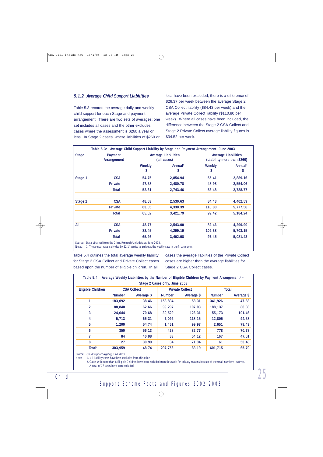#### *5.1.2 Average Child Support Liabilities*

Table 5.3 records the average daily and weekly child support for each Stage and payment arrangement. There are two sets of averages: one set includes all cases and the other excludes cases where the assessment is \$260 a year or less. In Stage 2 cases, where liabilities of \$260 or

less have been excluded, there is a difference of \$26.37 per week between the average Stage 2 CSA Collect liability (\$84.43 per week) and the average Private Collect liability (\$110.80 per week). Where all cases have been included, the difference between the Stage 2 CSA Collect and Stage 2 Private Collect average liability figures is \$34.52 per week.

| Payment<br>Arrangement |               | <b>Average Liabilities</b> |                                                               |                                                           |  |  |
|------------------------|---------------|----------------------------|---------------------------------------------------------------|-----------------------------------------------------------|--|--|
|                        |               | (all cases)                |                                                               | <b>Average Liabilities</b><br>(Liability more than \$260) |  |  |
|                        | <b>Weekly</b> | Annual <sup>1</sup>        | <b>Weekly</b>                                                 | Annual <sup>1</sup>                                       |  |  |
|                        | \$            | \$                         | \$                                                            | \$                                                        |  |  |
| <b>CSA</b>             | 54.75         | 2,854.94                   | 55.41                                                         | 2,889.16                                                  |  |  |
| <b>Private</b>         | 47.58         | 2,480.78                   | 48.98                                                         | 2,554.06                                                  |  |  |
| <b>Total</b>           | 52.61         | 2,743.46                   | 53.48                                                         | 2,788.77                                                  |  |  |
| <b>CSA</b>             | 48.53         | 2,530.63                   | 84.43                                                         | 4,402.59                                                  |  |  |
| <b>Private</b>         | 83.05         | 4,330.39                   | 110.80                                                        | 5,777.56                                                  |  |  |
| <b>Total</b>           | 65.62         | 3,421.79                   | 99.42                                                         | 5,184.24                                                  |  |  |
| <b>CSA</b>             | 48.77         | 2,543.00                   | 82.46                                                         | 4,299.90                                                  |  |  |
| <b>Private</b>         | 82.45         | 4,299.19                   | 109.38                                                        | 5,703.15                                                  |  |  |
| <b>Total</b>           | 65.26         | 3,402.98                   | 97.45                                                         | 5,081.43                                                  |  |  |
|                        |               |                            | Data obtained from the Client Research Unit dataset June 2003 |                                                           |  |  |

*Source: Data obtained from the Client Research Unit dataset, June 2003.*

*Notes: 1. The annual rate is divided by 52.14 weeks to arrive at the weekly rate in the first column.*

Table 5.4 outlines the total average weekly liability for Stage 2 CSA Collect and Private Collect cases based upon the number of eligible children. In all

cases the average liabilities of the Private Collect cases are higher than the average liabilities for Stage 2 CSA Collect cases.

|                               |               |                    |               | Table 5.4: Average Weekly Liabilities by the Number of Eligible Children by Payment Arrangement <sup>1</sup> – |               |            |  |  |  |
|-------------------------------|---------------|--------------------|---------------|----------------------------------------------------------------------------------------------------------------|---------------|------------|--|--|--|
| Stage 2 Cases only, June 2003 |               |                    |               |                                                                                                                |               |            |  |  |  |
| <b>Eligible Children</b>      |               | <b>CSA Collect</b> |               | <b>Private Collect</b>                                                                                         | <b>Total</b>  |            |  |  |  |
|                               | <b>Number</b> | Average \$         | <b>Number</b> | Average \$                                                                                                     | <b>Number</b> | Average \$ |  |  |  |
| 1                             | 183,092       | 38.46              | 158,834       | 58.31                                                                                                          | 341,926       | 47.68      |  |  |  |
| 2                             | 88,840        | 62.66              | 99,297        | 107.03                                                                                                         | 188,137       | 86.08      |  |  |  |
| 3                             | 24,644        | 70.68              | 30,529        | 126.31                                                                                                         | 55,173        | 101.46     |  |  |  |
| 4                             | 5,713         | 65.31              | 7,092         | 118.15                                                                                                         | 12,805        | 94.58      |  |  |  |
| 5                             | 1,200         | 54.74              | 1,451         | 99.97                                                                                                          | 2,651         | 79.49      |  |  |  |
| 6                             | 350           | 56.13              | 428           | 82.77                                                                                                          | 778           | 70.78      |  |  |  |
| 7                             | 84            | 40.98              | 83            | 54.12                                                                                                          | 167           | 47.51      |  |  |  |
| 8                             | 27            | 30.99              | 34            | 71.34                                                                                                          | 61            | 53.48      |  |  |  |
| Total <sup>2</sup>            | 303,959       | 48.74              | 297,756       | 83.19                                                                                                          | 601,715       | 65.79      |  |  |  |

*Source: Child Support Agency, June 2003.*

*Note: 1. Nil liability cases have been excluded from this table.*

*2. Cases with more than 8 Eligible Children have been excluded from this table for privacy reasons because of the small numbers involved. A total of 17 cases have been excluded.*

#### Support Scheme Facts and Figures 2002-2003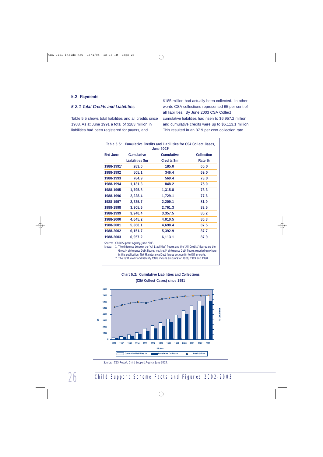#### **5.2 Payments**

#### *5.2.1 Total Credits and Liabilities*

Table 5.5 shows total liabilities and all credits since 1988. As at June 1991 a total of \$283 million in liabilities had been registered for payers, and

\$185 million had actually been collected. In other words CSA collections represented 65 per cent of all liabilities. By June 2003 CSA Collect cumulative liabilities had risen to \$6,957.2 million and cumulative credits were up to \$6,113.1 million. This resulted in an 87.9 per cent collection rate.

|                        | Table 5.5: Cumulative Credits and Liabilities for CSA Collect Cases,<br><b>June 2003</b> <sup>1</sup> |                    |                   |  |  |  |  |
|------------------------|-------------------------------------------------------------------------------------------------------|--------------------|-------------------|--|--|--|--|
| <b>End June</b>        | <b>Cumulative</b>                                                                                     | <b>Cumulative</b>  | <b>Collection</b> |  |  |  |  |
|                        | Liabilities \$m                                                                                       | <b>Credits \$m</b> | Rate %            |  |  |  |  |
| 1988-1991 <sup>2</sup> | 283.0                                                                                                 | 185.0              | 65.0              |  |  |  |  |
| 1988-1992              | 505.1                                                                                                 | 346.4              | 69.0              |  |  |  |  |
| 1988-1993              | 784.9                                                                                                 | 569.4              | 73.0              |  |  |  |  |
| 1988-1994              | 1,131.3                                                                                               | 848.2              | 75.0              |  |  |  |  |
| 1988-1995              | 1,795.8                                                                                               | 1,315.8            | 73.3              |  |  |  |  |
| 1988-1996              | 2,228.4                                                                                               | 1,729.1            | 77.6              |  |  |  |  |
| 1988-1997              | 2,725.7                                                                                               | 2,209.1            | 81.0              |  |  |  |  |
| 1988-1998              | 3,305.6                                                                                               | 2,761.3            | 83.5              |  |  |  |  |
| 1988-1999              | 3,940.4                                                                                               | 3,357.5            | 85.2              |  |  |  |  |
| 1988-2000              | 4,645.2                                                                                               | 4,010.5            | 86.3              |  |  |  |  |
| 1988-2001              | 5,368.1                                                                                               | 4,698.4            | 87.5              |  |  |  |  |
| 1988-2002              | 6,151.7                                                                                               | 5,392.9            | 87.7              |  |  |  |  |
| 1988-2003              | 6,957.2                                                                                               | 6,113.1            | 87.9              |  |  |  |  |

*Source: Child Support Agency, June 2003.*

*Notes: 1. The difference between the "All Liabilities" figures and the "All Credits" figures are the Gross Maintenance Debt figures, not Net Maintenance Debt figures reported elsewhere in this publication. Net Maintenance Debt figures exclude Write Off amounts. 2. The 1991 credit and liability totals include amounts for 1988, 1989 and 1990.*



*Source: CS5 Report, Child Support Agency, June 2003.*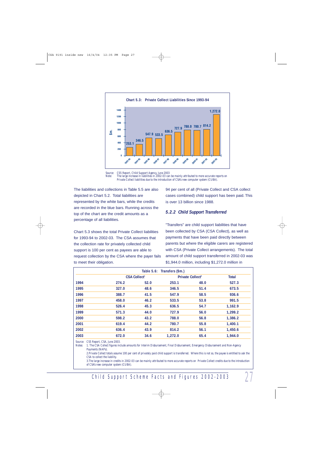

*Source: CS5 Report, Child Support Agency, June 2003 Note: The large increase in liabilities in 2002-03 can be mainly attributed to more accurate reports on Private Collect liabilities due to the introduction of CSA's new computer system (CUBA).* 

The liabilities and collections in Table 5.5 are also depicted in Chart 5.2. Total liabilities are represented by the white bars, while the credits are recorded in the blue bars. Running across the top of the chart are the credit amounts as a percentage of all liabilities.

Chart 5.3 shows the total Private Collect liabilities for 1993-94 to 2002-03. The CSA assumes that the collection rate for privately collected child support is 100 per cent as payees are able to request collection by the CSA where the payer fails to meet their obligation.

94 per cent of all (Private Collect and CSA collect cases combined) child support has been paid. This is over 13 billion since 1988.

#### *5.2.2 Child Support Transferred*

"Transfers" are child support liabilities that have been collected by CSA (CSA Collect), as well as payments that have been paid directly between parents but where the eligible carers are registered with CSA (Private Collect arrangements). The total amount of child support transferred in 2002-03 was \$1,944.0 million, including \$1,272.0 million in

|      |       |                                | Table 5.6: Transfers (\$m.) |                              |              |
|------|-------|--------------------------------|-----------------------------|------------------------------|--------------|
|      |       | <b>CSA Collect<sup>1</sup></b> |                             | Private Collect <sup>2</sup> | <b>Total</b> |
| 1994 | 274.2 | 52.0                           | 253.1                       | 48.0                         | 527.3        |
| 1995 | 327.0 | 48.6                           | 346.5                       | 51.4                         | 673.5        |
| 1996 | 388.7 | 41.5                           | 547.9                       | 58.5                         | 936.6        |
| 1997 | 458.0 | 46.2                           | 533.5                       | 53.8                         | 991.5        |
| 1998 | 526.4 | 45.3                           | 636.5                       | 54.7                         | 1,162.9      |
| 1999 | 571.3 | 44.0                           | 727.9                       | 56.0                         | 1,299.2      |
| 2000 | 598.2 | 43.2                           | 788.0                       | 56.8                         | 1,386.2      |
| 2001 | 619.4 | 44.2                           | 780.7                       | 55.8                         | 1,400.1      |
| 2002 | 636.4 | 43.9                           | 814.2                       | 56.1                         | 1,450.6      |
| 2003 | 672.0 | 34.6                           | 1,272.0                     | 65.4                         | 1,944.0      |

*Source: CS5 Report, CSA, June 2003.*

*Notes: 1. The CSA Collect figures include amounts for Interim Disbursement, Final Disbursement, Emergency Disbursement and Non-Agency Payments (NAPs).*

*2.Private Collect totals assume 100 per cent of privately paid child support is transferred. Where this is not so, the payee is entitled to ask the CSA to collect the liability.*

*3.The large increase in credits in 2002-03 can be mainly attributed to more accurate reports on Private Collect credits due to the introduction of CSA's new computer system (CUBA).*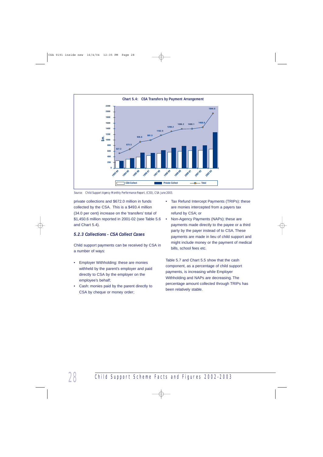

*Source: Child Support Agency Monthly Performance Report, (CS5), CSA June 2003.*

private collections and \$672.0 million in funds collected by the CSA. This is a \$493.4 million (34.0 per cent) increase on the 'transfers' total of \$1,450.6 million reported in 2001-02 (see Table 5.6 and Chart 5.4).

#### *5.2.3 Collections - CSA Collect Cases*

Child support payments can be received by CSA in a number of ways:

- Employer Withholding: these are monies withheld by the parent's employer and paid directly to CSA by the employer on the employee's behalf;
- Cash: monies paid by the parent directly to CSA by cheque or money order;
- Tax Refund Intercept Payments (TRIPs): these are monies intercepted from a payers tax refund by CSA; or
- Non-Agency Payments (NAPs): these are payments made directly to the payee or a third party by the payer instead of to CSA. These payments are made in lieu of child support and might include money or the payment of medical bills, school fees etc.

Table 5.7 and Chart 5.5 show that the cash component, as a percentage of child support payments, is increasing while Employer Withholding and NAPs are decreasing. The percentage amount collected through TRIPs has been relatively stable.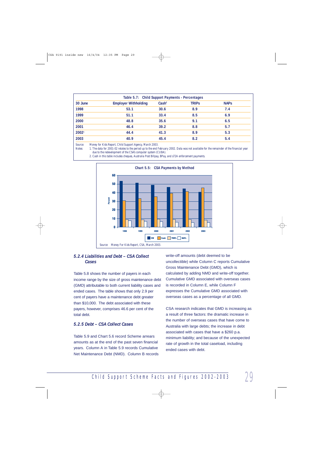| Table 5.7: Child Support Payments - Percentages |                             |                   |              |             |  |  |  |
|-------------------------------------------------|-----------------------------|-------------------|--------------|-------------|--|--|--|
| 30 June                                         | <b>Employer Withholding</b> | Cash <sup>2</sup> | <b>TRIPS</b> | <b>NAPS</b> |  |  |  |
| 1998                                            | 53.1                        | 30.6              | 8.9          | 7.4         |  |  |  |
| 1999                                            | 51.1                        | 33.4              | 8.5          | 6.9         |  |  |  |
| 2000                                            | 48.8                        | 35.6              | 9.1          | 6.5         |  |  |  |
| 2001                                            | 46.4                        | 39.2              | 8.8          | 5.7         |  |  |  |
| 20021                                           | 44.4                        | 41.3              | 8.9          | 5.3         |  |  |  |
| 2003                                            | 40.9                        | 45.4              | 8.2          | 5.4         |  |  |  |

*Source: Money for Kids Report, Child Support Agency, March 2003.*

*Notes: 1. The data for 2001-02 relates to the period up to the end February 2002. Data was not available for the remainder of the financial year due to the redevelopment of the CSA's computer system (CUBA).*

*2. Cash in this table includes cheques, Australia Post Billpay, BPay, and s72A enforcement payments.*



#### *5.2.4 Liabilities and Debt – CSA Collect Cases*

Table 5.8 shows the number of payers in each income range by the size of gross maintenance debt (GMD) attributable to both current liability cases and ended cases. The table shows that only 2.9 per cent of payers have a maintenance debt greater than \$10,000. The debt associated with these payers, however, comprises 46.6 per cent of the total debt.

#### *5.2.5 Debt – CSA Collect Cases*

Table 5.9 and Chart 5.6 record Scheme arrears amounts as at the end of the past seven financial years. Column A in Table 5.9 records Cumulative Net Maintenance Debt (NMD). Column B records write-off amounts (debt deemed to be uncollectible) while Column C reports Cumulative Gross Maintenance Debt (GMD), which is calculated by adding NMD and write-off together. Cumulative GMD associated with overseas cases is recorded in Column E, while Column F expresses the Cumulative GMD associated with overseas cases as a percentage of all GMD.

CSA research indicates that GMD is increasing as a result of three factors: the dramatic increase in the number of overseas cases that have come to Australia with large debts; the increase in debt associated with cases that have a \$260 p.a. minimum liability; and because of the unexpected rate of growth in the total caseload, including ended cases with debt.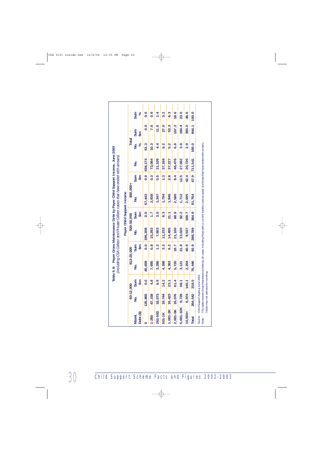|                                                                                                                                                              |                            | <b>Total</b> | Sum<br>.<br>ا<br><u>أو</u> | $\frac{2}{3}$<br>8 <sup>o</sup> | 0.0<br>61.3<br>436,174 | 7.6<br>10.3<br>73,084 | 11.6<br>4.4<br>31,109 | 27.0<br>5.2<br>37,169 | 53.3<br>5.2<br>37,227 | 157.3<br>6.8<br>48,476 | 194.4<br>3.9<br>27,582 | 393.0<br>2.9<br>20,720 | 100.0<br>844.1<br>100.0<br>711,541 |
|--------------------------------------------------------------------------------------------------------------------------------------------------------------|----------------------------|--------------|----------------------------|---------------------------------|------------------------|-----------------------|-----------------------|-----------------------|-----------------------|------------------------|------------------------|------------------------|------------------------------------|
|                                                                                                                                                              |                            |              | Sum                        | $\frac{2}{3}$                   | 0.0                    | $0.\overline{3}$      | $0.\overline{5}$      | 1.3                   | $2.\overline{8}$      | 8.4                    | 12.5                   | 42.4                   | 67.9                               |
| 5.8: Payer Gross Maintenance Debt by Payer Child Support Income, June 2003<br>(including CSA Collect and Private Collect cases that have ended with arrears) |                            | \$50,000+    | <u>ş</u>                   |                                 | 67,442                 | 2,938                 | 1,347                 | 1,794                 | 1,946                 | 2,580                  | 1,712                  | 2,005                  | 81,764                             |
|                                                                                                                                                              | Payer Child Support Income | \$20-50,000  | Sum                        | $\frac{2}{3}$                   | 0.0                    | 1.7                   | 3.0                   | 8.3                   | 21.1                  | 68.9                   | 92.2                   | 169.7                  | 364.8                              |
|                                                                                                                                                              |                            |              | <u>أو</u>                  |                                 | 196,208                | 15,293                | 7,903                 | 11,233                | 14,495                | 21,100                 | 13,020                 | 9,537                  | 288,789                            |
|                                                                                                                                                              |                            | \$12-20,000  | Sum                        | $\frac{2}{3}$                   | 0.0                    | $\frac{8}{2}$         | 1.2                   | 3.2                   | 6.2                   | 18.7                   | 21.9                   | 40.9                   | 92.9                               |
|                                                                                                                                                              |                            |              | <u>فا</u>                  |                                 | 45,659                 | 7,695                 | 3,286                 | 4,398                 | 4,363                 | 5,720                  | 3,121                  | 2,204                  | 76,446                             |
| Table                                                                                                                                                        |                            |              | Sum                        | ξñ                              | 0.0                    | 4.8                   | 6.9                   | 14.2                  | 23.1                  | 61.4                   | 68.1                   | 140.1                  | 318.5                              |
|                                                                                                                                                              |                            | $$0-12,000$  | ρò.                        |                                 | 126,865                | 47,158                | 18,573                | 19,744                | 16,423                | 19,076                 | 9,729                  | 6,974                  | 264,542                            |
|                                                                                                                                                              |                            |              | Maint.                     | Debt (\$)                       |                        | $1 - 260$             | 261-500               | 501-1K                | 1,001-2K              | $2,001 - 5K$           | 5,001-10K              | $10,000+$              | <b>Total</b>                       |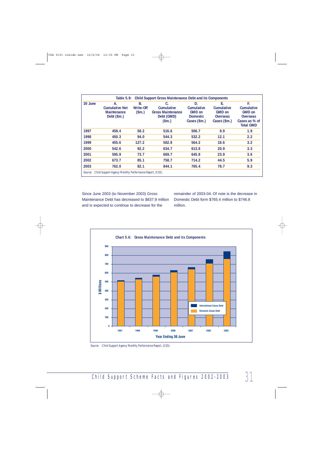| <b>Child Support Gross Maintenance Debt and its Components</b><br>Table 5.9: |                                                                    |                                |                                                                            |                                                                             |                                                                               |                                                                                           |  |  |  |
|------------------------------------------------------------------------------|--------------------------------------------------------------------|--------------------------------|----------------------------------------------------------------------------|-----------------------------------------------------------------------------|-------------------------------------------------------------------------------|-------------------------------------------------------------------------------------------|--|--|--|
| 30 June                                                                      | Α.<br><b>Cumulative Net</b><br><b>Maintenance</b><br>Debt $(\$m.)$ | В.<br><b>Write-Off</b><br>\$m. | C.<br><b>Cumulative</b><br><b>Gross Maintenance</b><br>Debt (GMD)<br>\$m.) | D.<br><b>Cumulative</b><br><b>GMD</b> on<br><b>Domestic</b><br>Cases (\$m.) | Ε.<br><b>Cumulative</b><br><b>GMD on</b><br><b>Overseas</b><br>Cases $(\$m.)$ | F.<br>Cumulative<br><b>GMD</b> on<br><b>Overseas</b><br>Cases as % of<br><b>Total GMD</b> |  |  |  |
| 1997                                                                         | 458.4                                                              | 58.2                           | 516.6                                                                      | 506.7                                                                       | 9.9                                                                           | 1.9                                                                                       |  |  |  |
| 1998                                                                         | 450.3                                                              | 94.0                           | 544.3                                                                      | 532.2                                                                       | 12.1                                                                          | 2.2                                                                                       |  |  |  |
| 1999                                                                         | 455.6                                                              | 127.2                          | 582.8                                                                      | 564.2                                                                       | 18.6                                                                          | 3.2                                                                                       |  |  |  |
| 2000                                                                         | 542.6                                                              | 92.2                           | 634.7                                                                      | 613.8                                                                       | 20.9                                                                          | 3.3                                                                                       |  |  |  |
| 2001                                                                         | 595.9                                                              | 73.7                           | 669.7                                                                      | 645.8                                                                       | 23.9                                                                          | 3.6                                                                                       |  |  |  |
| 2002                                                                         | 673.7                                                              | 85.1                           | 758.7                                                                      | 714.2                                                                       | 44.5                                                                          | 5.9                                                                                       |  |  |  |
| 2003                                                                         | 762.0                                                              | 82.1                           | 844.1                                                                      | 765.4                                                                       | 78.7                                                                          | 9.3                                                                                       |  |  |  |
| Source:                                                                      | Child Support Agency Monthly Performance Report, (CS5).            |                                |                                                                            |                                                                             |                                                                               |                                                                                           |  |  |  |

Since June 2003 (to November 2003) Gross Maintenance Debt has decreased to \$837.9 million and is expected to continue to decrease for the

remainder of 2003-04. Of note is the decrease in Domestic Debt form \$765.4 million to \$746.8 million.



*Source: Child Support Agency Monthly Performance Report, (CS5).*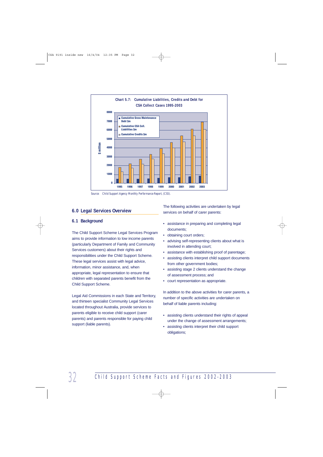

*Source: Child Support Agency Monthly Performance Report, (CS5).*

#### **6.0 Legal Services Overview**

#### **6.1 Background**

The Child Support Scheme Legal Services Program aims to provide information to low income parents (particularly Department of Family and Community Services customers) about their rights and responsibilities under the Child Support Scheme. These legal services assist with legal advice, information, minor assistance, and, when appropriate, legal representation to ensure that children with separated parents benefit from the Child Support Scheme.

Legal Aid Commissions in each State and Territory, and thirteen specialist Community Legal Services located throughout Australia, provide services to parents eligible to receive child support (carer parents) and parents responsible for paying child support (liable parents).

The following activities are undertaken by legal services on behalf of carer parents:

- assistance in preparing and completing legal documents;
- obtaining court orders;
- advising self-representing clients about what is involved in attending court;
- assistance with establishing proof of parentage;
- assisting clients interpret child support documents from other government bodies;
- assisting stage 2 clients understand the change of assessment process; and
- court representation as appropriate.

In addition to the above activities for carer parents, a number of specific activities are undertaken on behalf of liable parents including:

- assisting clients understand their rights of appeal under the change of assessment arrangements;
- assisting clients interpret their child support obligations;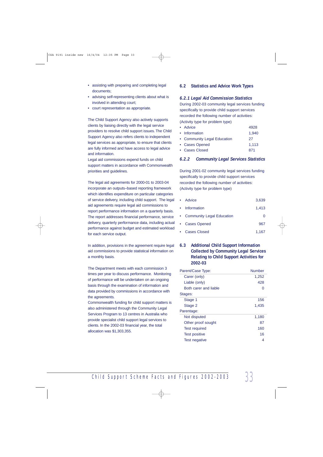- assisting with preparing and completing legal documents;
- advising self-representing clients about what is involved in attending court;
- court representation as appropriate.

The Child Support Agency also actively supports clients by liaising directly with the legal service providers to resolve child support issues. The Child Support Agency also refers clients to independent legal services as appropriate, to ensure that clients are fully informed and have access to legal advice and information.

Legal aid commissions expend funds on child support matters in accordance with Commonwealth priorities and guidelines.

The legal aid agreements for 2000-01 to 2003-04 incorporate an outputs–based reporting framework which identifies expenditure on particular categories of service delivery, including child support. The legal aid agreements require legal aid commissions to report performance information on a quarterly basis. The report addresses financial performance, service delivery, quarterly performance data, including actual performance against budget and estimated workload for each service output.

In addition, provisions in the agreement require legal aid commissions to provide statistical information on a monthly basis.

The Department meets with each commission 3 times per year to discuss performance. Monitoring of performance will be undertaken on an ongoing basis through the examination of information and data provided by commissions in accordance with the agreements.

Commonwealth funding for child support matters is also administered through the Community Legal Services Program to 13 centres in Australia who provide specialist child support legal services to clients. In the 2002-03 financial year, the total allocation was \$1,303,355.

#### **6.2 Statistics and Advice Work Types**

#### *6.2.1 Legal Aid Commission Statistics*

During 2002-03 community legal services funding specifically to provide child support services recorded the following number of activities: (Activity type for problem type)

| • Advice                    | 4928  |
|-----------------------------|-------|
| • Information               | 1.940 |
| • Community Legal Education | 27    |
| • Cases Opened              | 1,113 |
| • Cases Closed              | 871   |
|                             |       |

#### *6.2.2 Community Legal Services Statistics*

During 2001-02 community legal services funding specifically to provide child support services recorded the following number of activities: (Activity type for problem type)

| $\bullet$ | Advice                      | 3,639 |
|-----------|-----------------------------|-------|
|           | • Information               | 1,413 |
|           | • Community Legal Education | 0     |
|           | • Cases Opened              | 967   |
|           | • Cases Closed              | 1,167 |

#### **6.3 Additional Child Support Information Collected by Community Legal Services Relating to Child Support Activities for 2002-03**

| Parent/Case Type:     | <b>Number</b> |
|-----------------------|---------------|
| Carer (only)          | 1,252         |
| Liable (only)         | 428           |
| Both carer and liable | 0             |
| Stages:               |               |
| Stage 1               | 156           |
| Stage 2               | 1,435         |
| Parentage:            |               |
| Not disputed          | 1,180         |
| Other proof sought    | 87            |
| <b>Test required</b>  | 160           |
| <b>Test positive</b>  | 16            |
| Test negative         | 4             |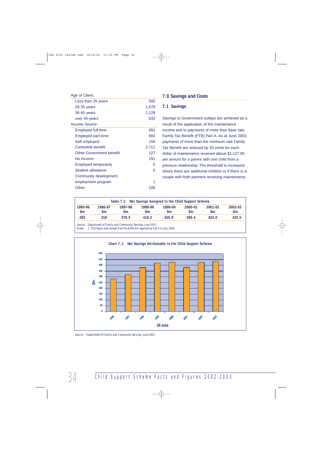| Age of Client:                  |       |
|---------------------------------|-------|
| Less than 26 years              | 582   |
| 26-35 years                     | 1,679 |
| 36-45 years                     | 2,128 |
| over 45 years                   | 833   |
| Income Source:                  |       |
| Employed full-time              | 991   |
| Employed part-time              | 682   |
| Self employed                   | 156   |
| Centrelink benefit              | 2,711 |
| <b>Other Government benefit</b> | 127   |
| No income                       | 191   |
| <b>Employed temporarily</b>     | 5     |
| Student allowance               | 5     |
| Community development           |       |
| employment program              | 1     |
| Other                           | 188   |
|                                 |       |

#### **7.0 Savings and Costs**

#### **7.1 Savings**

Savings to Government outlays are achieved as a result of the application of the maintenance income test to payments of more than base rate Family Tax Benefit (FTB) Part A. As at June 2003, payments of more than the minimum rate Family Tax Benefit are reduced by 50 cents for each dollar of maintenance received above \$1,127.85 per annum for a parent with one child from a previous relationship. The threshold is increased where there are additional children or if there is a couple with both partners receiving maintenance.

| Table 7.1: Net Savings Assigned to the Child Support Scheme                                                                                                 |                          |                |                |                    |                          |                          |                          |
|-------------------------------------------------------------------------------------------------------------------------------------------------------------|--------------------------|----------------|----------------|--------------------|--------------------------|--------------------------|--------------------------|
| 1995-96<br>$\mathsf{Sm}$                                                                                                                                    | 1996-97<br>$\mathsf{sm}$ | 1997-98<br>\$m | 1998-99<br>\$m | 1999-00<br>\$m     | 2000-01<br>$\mathsf{sm}$ | 2001-02<br>$\mathsf{sm}$ | 2002-03<br>$\mathsf{sm}$ |
| 283                                                                                                                                                         | 318                      | 378.3          | 419.2          | 425.0 <sup>1</sup> | 380.4                    | 423.0                    | 433.5                    |
| Department of Family and Community Services, June 2003.<br>Source:<br>1. This figure was revised from the \$594.4m reported by FaCS in July 2000.<br>Notes: |                          |                |                |                    |                          |                          |                          |



*Source: Department of Family and Community Services, June 2003.*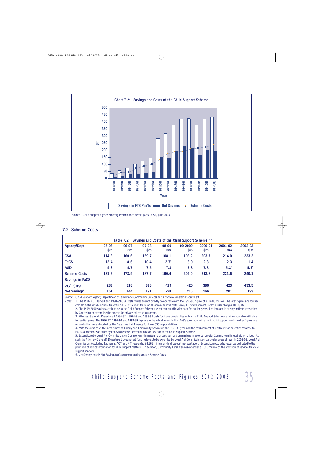

*Source: Child Support Agency Monthly Performance Report (CS5), CSA, June 2003.*

#### **7.2 Scheme Costs**

| <b>Agency/Dept</b>       | 95-96<br>\$m | 96-97<br>\$m | 97-98<br>$\mathsf{Sm}$ | 98-99<br>\$m     | 99-2000<br>\$m\$ | 2000-01<br>\$m | 2001-02<br>$\mathsf{Sm}$ | 2002-03<br>\$m |
|--------------------------|--------------|--------------|------------------------|------------------|------------------|----------------|--------------------------|----------------|
| <b>CSA</b>               | 114.8        | 160.6        | 169.7                  | 108.1            | 198.2            | 203.7          | 214.0                    | 233.2          |
| <b>FaCS</b>              | 12.4         | 8.6          | 10.4                   | 2.7 <sup>4</sup> | 3.0              | 2.3            | 2.3                      | 1.4            |
| <b>AGD</b>               | 4.3          | 4.7          | 7.5                    | 7.8              | 7.8              | 7.8            | 5.3 <sup>5</sup>         | $5.5^5$        |
| <b>Scheme Costs</b>      | 131.6        | 173.9        | 187.7                  | 190.6            | 209.0            | 213.8          | 221.6                    | 240.1          |
| Savings in FaCS          |              |              |                        |                  |                  |                |                          |                |
| pay't (net)              | 283          | 318          | 378                    | 419              | 425              | 380            | 423                      | 433.5          |
| Net Savings <sup>6</sup> | 151          | 144          | 191                    | 228              | 216              | 166            | 201                      | 193            |

*Source: Child Support Agency, Department of Family and Community Services and Attorney-General's Department.*

*Notes: 1. The 1996-97, 1997-98 and 1998-99 CSA costs figures are not directly comparable with the 1995-96 figure of \$114.85 million. The later figures are accrued cost estimates which include, for example, all CSA costs for salaries, administrative costs, leave, IT redevelopment, internal user charges (IUCs) etc.*

*2. The 1999-2000 savings attributable to the Child Support Scheme are not comparable with data for earlier years. The increase in savings reflects steps taken by Centrelink to streamline the process for private collection customers.*

*3. Attorney-General's Department 1996-97, 1997-98 and 1998-99 costs for its responsibilities within the Child Support Scheme are not comparable with data for earlier years. The 1996-97, 1997-98 and 1998-99 figures are the actual amounts that A-G's spent administering its child support work: earlier figures are amounts that were allocated by the Department of Finance for those CSS responsibilities.*

*4. With the creation of the Department of Family and Community Services in the 1998-99 year and the establishment of Centrelink as an entity separate to FaCS, a decision was taken by FaCS to remove Centrelink costs in relation to the Child Support Scheme.*

*5. Expenditure by Legal Aid Commissions on Commonwealth matters is undertaken by Commissions in accordance with Commonwealth legal aid priorities. As such the Attorney-General's Department does not set funding levels to be expended by Legal Aid Commissions on particular areas of law. In 2002-03, Legal Aid Commissions (excluding Tasmania, ACT and NT) expended \$4.169 million on child support representation. Expenditure excludes resources dedicated to the provision of advice/information for child support matters. In addition, Community Legal Centres expended \$1.303 million on the provision of services for child support matters.*

*6. Net Savings equals Net Savings to Government outlays minus Scheme Costs.*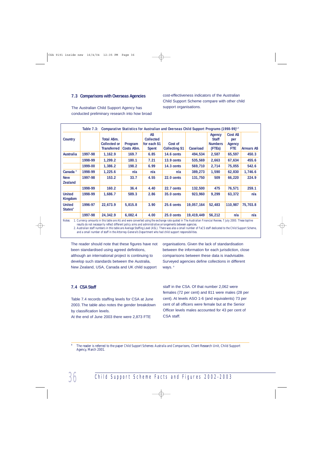#### **7.3 Comparisons with Overseas Agencies**

cost-effectiveness indicators of the Australian Child Support Scheme compare with other child support organisations.

The Australian Child Support Agency has conducted preliminary research into how broad

|                                      | Table 7.3: |                                                          |                        |                                                         | Comparative Statistics for Australian and Overseas Child Support Programs (1998-99) <sup>1,2</sup> |            |                                                    |                                         |                    |
|--------------------------------------|------------|----------------------------------------------------------|------------------------|---------------------------------------------------------|----------------------------------------------------------------------------------------------------|------------|----------------------------------------------------|-----------------------------------------|--------------------|
| Country                              |            | Total A\$m.<br><b>Collected or</b><br><b>Transferred</b> | Program<br>Costs A\$m. | A\$<br><b>Collected</b><br>for each \$1<br><b>Spent</b> | Cost of<br>Collecting \$1                                                                          | Caseload   | Agency<br><b>Staff</b><br><b>Numbers</b><br>(FTEs) | Cost A\$<br>per<br>Agency<br><b>FTE</b> | <b>Arrears A\$</b> |
| <b>Australia</b>                     | 1997-98    | 1,162.9                                                  | 169.7                  | 6.85                                                    | <b>14.6 cents</b>                                                                                  | 494,534    | 2,587                                              | 65,597                                  | 450.3              |
|                                      | 1998-99    | 1,299.2                                                  | 180.1                  | 7.21                                                    | 13.9 cents                                                                                         | 535,569    | 2,663                                              | 67,634                                  | 455.6              |
|                                      | 1999-00    | 1,386.2                                                  | 198.2                  | 6.99                                                    | $14.3$ cents                                                                                       | 569,710    | 2,714                                              | 75,055                                  | 542.6              |
| Canada <sup>3</sup>                  | 1998-99    | 1,225.6                                                  | n/a                    | n/a                                                     | n/a                                                                                                | 389,273    | 1,590                                              | 62,830                                  | 1,746.6            |
| <b>New</b><br><b>Zealand</b>         | 1997-98    | 153.2                                                    | 33.7                   | 4.55                                                    | 22.0 cents                                                                                         | 131,750    | 509                                                | 66,220                                  | 224.9              |
|                                      | 1998-99    | 160.2                                                    | 36.4                   | 4.40                                                    | <b>22.7 cents</b>                                                                                  | 132,500    | 475                                                | 76,571                                  | 259.1              |
| <b>United</b><br><b>Kingdom</b>      | 1998-99    | 1,686.7                                                  | 589.3                  | 2.86                                                    | <b>35.0 cents</b>                                                                                  | 923,960    | 9,299                                              | 63,372                                  | n/a                |
| <b>United</b><br>States <sup>4</sup> | 1996-97    | 22,673.9                                                 | 5,815.8                | 3.90                                                    | <b>25.6 cents</b>                                                                                  | 19,057,164 | 52,483                                             | 110,987                                 | 75,703.8           |
|                                      | 1997-98    | 24,342.9                                                 | 6,082.4                | 4.00                                                    | $25.0$ cents                                                                                       | 19,419,449 | 56,212                                             | n/a                                     | n/a                |

*Notes: 1. Currency amounts in this table are A\$ and were converted using the exchange rate quoted in The Australian Financial Review, 7 July 2000. These topline results do not necessarily reflect different policy aims and administrative arrangements between agencies.*

*2. Australian staff numbers in this table are Average Staffing Level (ASL). There was also a small number of FaCS staff dedicated to the Child Support Scheme, and a small number of staff in the Attorney-General's Department who had child support responsibilities.* 

The reader should note that these figures have not been standardised using agreed definitions, although an international project is continuing to develop such standards between the Australia, New Zealand, USA, Canada and UK child support

organisations. Given the lack of standardisation between the information for each jurisdiction, close comparisons between these data is inadvisable. Surveyed agencies define collections in different ways. 9

#### **7.4 CSA Staff**

Table 7.4 records staffing levels for CSA at June 2003. The table also notes the gender breakdown by classification levels.

At the end of June 2003 there were 2,873 FTE

staff in the CSA. Of that number 2,062 were females (72 per cent) and 811 were males (28 per cent). At levels ASO 1-6 (and equivalents) 73 per cent of all officers were female but at the Senior Officer levels males accounted for 43 per cent of CSA staff.

<sup>9</sup> The reader is referred to the paper *Child Support Schemes: Australia and Comparisons*, Client Research Unit, Child Support Agency, March 2001.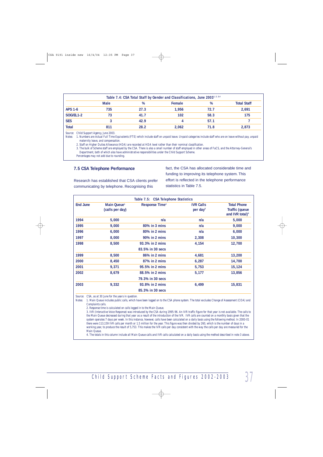| Table 7.4: CSA Total Staff by Gender and Classifications, June 2003 <sup>1, 2, 3,4</sup> |             |      |        |      |                    |
|------------------------------------------------------------------------------------------|-------------|------|--------|------|--------------------|
|                                                                                          | <b>Male</b> | %    | Female | %    | <b>Total Staff</b> |
| <b>APS 1-6</b>                                                                           | 735         | 27.3 | 1.956  | 72.7 | 2,691              |
| <b>SOG/EL1-2</b>                                                                         | 73          | 41.7 | 102    | 58.3 | 175                |
| <b>SES</b>                                                                               |             | 42.9 | 4      | 57.1 |                    |
| <b>Total</b>                                                                             | 811         | 28.2 | 2,062  | 71.8 | 2,873              |

*Source: Child Support Agency, June 2003.*

*Notes: 1. Numbers are Actual Full Time Equivalents (FTE) which include staff on unpaid leave. Unpaid categories include staff who are on leave without pay, unpaid maternity leave, and compensation.*

*2. Staff on Higher Duties Allowance (HDA) are recorded at HDA level rather than their nominal classification.*

*3. The bulk of Scheme staff are employed by the CSA. There is also a small number of staff employed in other areas of FaCS, and the Attorney-General's Department, both of which also have administrative responsibilities under the Child Support Scheme.*

*Percentages may not add due to rounding.*

#### **7.5 CSA Telephone Performance**

Research has established that CSA clients prefer communicating by telephone. Recognising this

fact, the CSA has allocated considerable time and funding to improving its telephone system. This effort is reflected in the telephone performance statistics in Table 7.5.

| Table 7.5: CSA Telephone Statistics |                                            |                            |                                          |                                                                            |  |
|-------------------------------------|--------------------------------------------|----------------------------|------------------------------------------|----------------------------------------------------------------------------|--|
| <b>End June</b>                     | Main Queue <sup>1</sup><br>(calls per day) | Response Time <sup>2</sup> | <b>IVR Calls</b><br>per day <sup>3</sup> | <b>Total Phone</b><br><b>Traffic (queue</b><br>and IVR total) <sup>4</sup> |  |
| 1994                                | 5,000                                      | n/a                        | n/a                                      | 5,000                                                                      |  |
| 1995                                | 9,000                                      | 80% in 3 mins              | n/a                                      | 9,000                                                                      |  |
| 1996                                | 6,000                                      | 80% in 2 mins              | n/a                                      | 6,000                                                                      |  |
| 1997                                | 8,000                                      | 90% in 2 mins              | 2,308                                    | 10,300                                                                     |  |
| 1998                                | 8,500                                      | 93.3% in 2 mins            | 4,154                                    | 12,700                                                                     |  |
|                                     |                                            | 83.5% in 30 secs           |                                          |                                                                            |  |
| 1999                                | 8,500                                      | $86\%$ in 2 mins           | 4,681                                    | 13,200                                                                     |  |
| 2000                                | 8,450                                      | 87% in 2 mins              | 6,287                                    | 14,700                                                                     |  |
| 2001                                | 9,371                                      | 95.5% in 2 mins            | 5,753                                    | 15,124                                                                     |  |
| 2002                                | 8,679                                      | 88.5% in 2 mins            | 5,177                                    | 13,856                                                                     |  |
|                                     |                                            | 79.3% in 30 secs           |                                          |                                                                            |  |
| 2003                                | 9,332                                      | 93.8% in 2 mins            | 6,499                                    | 15,831                                                                     |  |
|                                     |                                            | 85.3% in 30 secs           |                                          |                                                                            |  |

*Source: CSA, as at 30 June for the years in question.*

*Notes: 1. Main Queue includes public calls, which have been logged on to the CSA phone system. The total excludes Change of Assessment (COA) and Complaints calls.*

*2. Response time is calculated on calls logged in to the Main Queue.*

*3. IVR (Interactive Voice Response) was introduced by the CSA during 1995-96. An IVR traffic figure for that year is not available. The calls to the Main Queue decreased during that year as a result of the introduction of the IVR. IVR calls are counted on a monthly basis given that the system operates 7 days per week. In this instance, however, calls have been calculated on a daily basis using the following method. In 2000-01 there were 113,159 IVR calls per month or 1.5 million for the year. This figure was then divided by 260, which is the number of days in a working year, to produce the result of 5,753. This makes the IVR calls per day consistent with the way the calls per day are measured for the Main Queue.*

*4. The totals in this column include all Main Queue calls and IVR calls calculated on a daily basis using the method described in note 3 above.*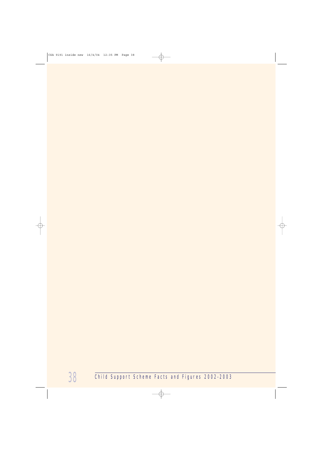38 Child Support Scheme Facts and Figures 2002-2003

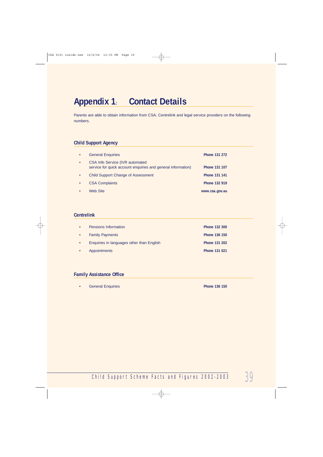## **Appendix 1: Contact Details**

Parents are able to obtain information from CSA, Centrelink and legal service providers on the following numbers.

#### **Child Support Agency**

| $\bullet$ | <b>General Enquiries</b>                                                                               | <b>Phone 131 272</b> |
|-----------|--------------------------------------------------------------------------------------------------------|----------------------|
| $\bullet$ | <b>CSA Info Service (IVR automated</b><br>service for quick account enquiries and general information) | Phone 131 107        |
| $\bullet$ | <b>Child Support Change of Assessment</b>                                                              | <b>Phone 131 141</b> |
|           | <b>CSA Complaints</b>                                                                                  | Phone 132 919        |
|           | <b>Web Site</b>                                                                                        | www.csa.gov.au       |

#### **Centrelink**

| $\bullet$ | Pensions Information                      | Phone 132 300        |
|-----------|-------------------------------------------|----------------------|
| $\bullet$ | <b>Family Payments</b>                    | <b>Phone 136 150</b> |
| $\bullet$ | Enquiries in languages other than English | Phone 131 202        |
|           | <b>Appointments</b>                       | Phone 131 021        |

#### **Family Assistance Office**

• General Enquiries **Phone 136 150**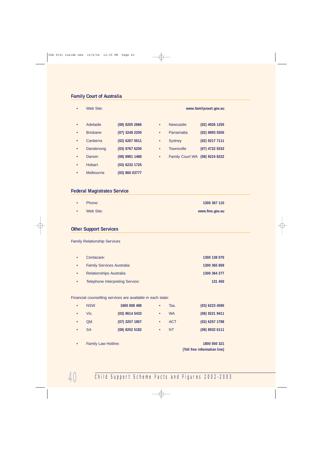#### **Family Court of Australia**

- 
- Adelaide **(08) 8205 2666** Newcastle **(02) 4926 1255**
- Brisbane **(07) 3248 2200** Parramatta **(02) 9893 5555**
- Canberra **(02) 6267 0511** Sydney **(02) 9217 7111**
- Dandenong **(03) 9767 6200** Townsville **(07) 4722 9333**
- 
- Hobart **(03) 6232 1725**
- Melbourne **(03) 860 03777**

#### **Federal Magistrates Service**

- Phone: **1300 367 110**
- Web Site: **www.fms.gov.au**

#### **Other Support Services**

#### Family Relationship Services

|           | Centacare:                             | 1300 138 070 |
|-----------|----------------------------------------|--------------|
| $\bullet$ | <b>Family Services Australia:</b>      | 1300 365 859 |
| $\bullet$ | Relationships Australia:               | 1300 364 277 |
| $\bullet$ | <b>Telephone Interpreting Service:</b> | 131 450      |

Financial counselling services are available in each state:

| <b>NSW</b> | 1800 808 488     | Tas.      | $(03)$ 6223 4595 |
|------------|------------------|-----------|------------------|
| Vic.       | $(03)$ 9614 5433 | <b>WA</b> | (08) 9221 9411   |
| <b>Qld</b> | $(07)$ 3257 1957 | ACT       | $(02)$ 6257 1788 |
| <b>SA</b>  | (08) 8202 5182   | NT        | $(08)$ 8932 6111 |

• Family Law Hotline: **1800 050 321 (Toll free information line)**

| ۰ | <b>Newcastle</b>  | (02) 4926 1255       |
|---|-------------------|----------------------|
| ۰ | Parramatta        | (02) 9893 5555       |
| ۰ | <b>Sydney</b>     | (02) 9217 7111       |
| ۰ | <b>Townsville</b> | (07) 4722 9333       |
|   |                   | (0.01, 0.001, 0.000) |

• Darwin **(08) 8981 1488** • Family Court WA **(08) 9224 8222**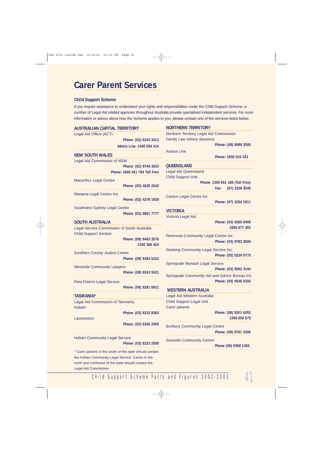### **Carer Parent Services**

#### **Child Support Scheme**

Legal Aid Commission.

If you require assistance to understand your rights and responsibilities under the Child Support Scheme, a number of Legal Aid related agencies throughout Australia provide specialised independent services. For more information or advice about how the Scheme applies to you, please contact one of the services listed below.

| <b>AUSTRALIAN CAPITAL TERRITORY</b>                      |                                                        | <b>NORTHERN TERRITORY</b>                       |                                 |  |
|----------------------------------------------------------|--------------------------------------------------------|-------------------------------------------------|---------------------------------|--|
| Legal Aid Office (ACT)                                   |                                                        | Northern Territory Legal Aid Commission         |                                 |  |
|                                                          | Phone: (02) 6243 3411                                  | <b>Family Law Advice Sessions</b>               |                                 |  |
|                                                          | Advice Line: 1300 654 314                              |                                                 | Phone: (08) 8999 3000           |  |
|                                                          |                                                        | <b>Advice Line</b>                              |                                 |  |
| <b>NEW SOUTH WALES</b>                                   |                                                        |                                                 | Phone: 1800 019 343             |  |
| <b>Legal Aid Commission of NSW</b>                       |                                                        | <b>QUEENSLAND</b>                               |                                 |  |
|                                                          | Phone: (02) 9744 3833<br>Phone: 1800 451 784 Toll Free | <b>Legal Aid Queensland</b>                     |                                 |  |
|                                                          |                                                        | <b>Child Support Unit</b>                       |                                 |  |
| <b>Macarthur Legal Centre</b>                            |                                                        |                                                 | Phone: 1300 651 188 (Toll Free) |  |
|                                                          | Phone: (02) 4628 2042                                  |                                                 | $(07)$ 3238 3545<br>Fax:        |  |
| Illawarra Legal Centre Inc.                              |                                                        |                                                 |                                 |  |
|                                                          | Phone: (02) 4276 1939                                  | Caxton Legal Centre Inc.                        |                                 |  |
|                                                          |                                                        |                                                 | Phone: (07) 3254 1811           |  |
| <b>Southwest Sydney Legal Centre</b>                     | Phone: (02) 9601 7777                                  | <b>VICTORIA</b>                                 |                                 |  |
|                                                          |                                                        | Victoria Legal Aid                              |                                 |  |
| <b>SOUTH AUSTRALIA</b>                                   |                                                        |                                                 | Phone: (03) 9269 0408           |  |
| Legal Service Commission of South Australia              |                                                        |                                                 | 1800 677 402                    |  |
| <b>Child Support Section</b>                             |                                                        | Peninsula Community Legal Centre Inc.           |                                 |  |
|                                                          | Phone: (08) 8463 3576                                  |                                                 | Phone: (03) 9783 3600           |  |
|                                                          | 1300 366 424                                           | Geelong Community Legal Service Inc.            |                                 |  |
| <b>Southern County Justice Centre</b>                    |                                                        |                                                 | Phone: (03) 5229 0775           |  |
|                                                          | Phone: (08) 8384 5222                                  |                                                 |                                 |  |
| <b>Westside Community Lawyers</b>                        |                                                        | Springvale Monash Legal Service                 |                                 |  |
|                                                          | Phone: (08) 8243 5521                                  |                                                 | Phone: (03) 9562 3144           |  |
|                                                          |                                                        | Springvale Community Aid and Advice Bureau Inc. |                                 |  |
| <b>Para District Legal Service</b>                       |                                                        |                                                 | Phone: (03) 9546 5255           |  |
|                                                          | Phone: (08) 8281 6911                                  | <b>WESTERN AUSTRALIA</b>                        |                                 |  |
| <b>TASMANIA*</b>                                         |                                                        | Legal Aid Western Australia                     |                                 |  |
| Legal Aid Commission of Tasmania                         |                                                        | <b>Child Support Legal Unit</b>                 |                                 |  |
| <b>Hobart</b>                                            |                                                        | <b>Carer parents</b>                            |                                 |  |
|                                                          | Phone: (03) 6233 8383                                  |                                                 | Phone: (08) 9261 6253           |  |
| Launceston                                               |                                                        |                                                 | 1300 650 579                    |  |
|                                                          | Phone: (03) 6336 2050                                  | <b>Bunbury Community Legal Centre</b>           |                                 |  |
|                                                          |                                                        |                                                 | Phone: (08) 9791 3206           |  |
| <b>Hobart Community Legal Service</b>                    |                                                        | <b>Gosnells Community Centre</b>                |                                 |  |
|                                                          | Phone: (03) 6223 2500                                  |                                                 | Phone (08) 9398 1455            |  |
| * Carer parents in the south of the state should contact |                                                        |                                                 |                                 |  |
| the Hobart Community Legal Service. Carers in the        |                                                        |                                                 |                                 |  |
| north and northwest of the state should contact the      |                                                        |                                                 |                                 |  |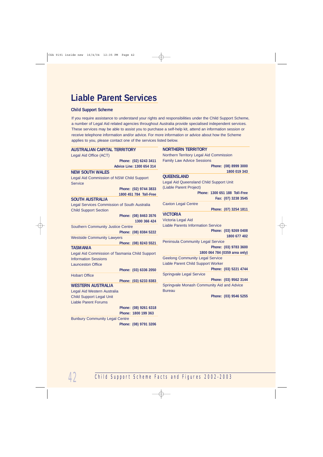# **Liable Parent Services**

#### **Child Support Scheme**

If you require assistance to understand your rights and responsibilities under the Child Support Scheme, a number of Legal Aid related agencies throughout Australia provide specialised independent services. These services may be able to assist you to purchase a self-help kit, attend an information session or receive telephone information and/or advice. For more information or advice about how the Scheme applies to you, please contact one of the services listed below.

| <b>AUSTRALIAN CAPITAL TERRITORY</b>                        | <b>NORTHERN TERRITORY</b>                  |
|------------------------------------------------------------|--------------------------------------------|
| Legal Aid Office (ACT)                                     | Northern Territory Legal Aid Commission    |
| Phone: (02) 6243 3411                                      | <b>Family Law Advice Sessions</b>          |
| Advice Line: 1300 654 314                                  | Phone: (08) 8999 3000                      |
| <b>NEW SOUTH WALES</b>                                     | 1800 019 343                               |
| Legal Aid Commission of NSW Child Support                  | <b>QUEENSLAND</b>                          |
| <b>Service</b>                                             | Legal Aid Queensland Child Support Unit    |
| Phone: (02) 9744 3833                                      | (Liable Parent Project)                    |
| 1800 451 784 Toll-Free                                     | Phone: 1300 651 188 Toll-Free              |
| <b>SOUTH AUSTRALIA</b>                                     | Fax: (07) 3238 3545                        |
| Legal Services Commission of South Australia               | <b>Caxton Legal Centre</b>                 |
| <b>Child Support Section</b>                               | Phone: (07) 3254 1811<br><b>VICTORIA</b>   |
| Phone: (08) 8463 3576                                      | Victoria Legal Aid                         |
| 1300 366 424                                               | <b>Liable Parents Information Service</b>  |
| <b>Southern Community Justice Centre</b>                   | Phone: (03) 9269 0408                      |
| Phone: (08) 8384 5222<br><b>Westside Community Lawyers</b> | 1800 677 402                               |
| Phone: (08) 8243 5521                                      | <b>Peninsula Community Legal Service</b>   |
| <b>TASMANIA</b>                                            | Phone: (03) 9783 3600                      |
| Legal Aid Commission of Tasmania Child Support             | 1800 064 784 (0359 area only)              |
| <b>Information Sessions</b>                                | <b>Geelong Community Legal Service</b>     |
| <b>Launceston Office</b>                                   | Liable Parent Child Support Worker         |
| Phone: (03) 6336 2050                                      | Phone: (03) 5221 4744                      |
| <b>Hobart Office</b>                                       | <b>Springvale Legal Service</b>            |
| Phone: (03) 6233 8383                                      | Phone: (03) 9562 3144                      |
| <b>WESTERN AUSTRALIA</b>                                   | Springvale Monash Community Aid and Advice |
| Legal Aid Western Australia                                | <b>Bureau</b>                              |
| <b>Child Support Legal Unit</b>                            | Phone: (03) 9546 5255                      |
| <b>Liable Parent Forums</b>                                |                                            |
| Phone: (08) 9261 6318                                      |                                            |
| Phone: 1800 199 363                                        |                                            |
| <b>Bunbury Community Legal Centre</b>                      |                                            |
| Phone: (08) 9791 3206                                      |                                            |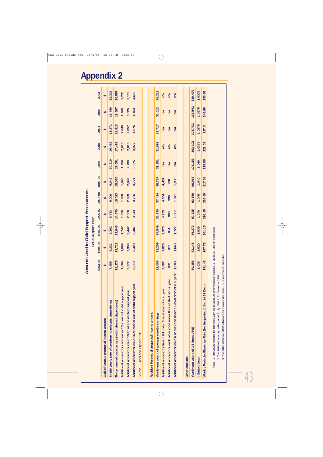| <b>Jsed in Child Support Assessments</b><br><b>Amounts</b>                            | <b>Child Support Year</b> |                                                                                                                             |         |         |         |         |         |         |         |
|---------------------------------------------------------------------------------------|---------------------------|-----------------------------------------------------------------------------------------------------------------------------|---------|---------|---------|---------|---------|---------|---------|
| 1994-95<br>1993-94                                                                    | 1995-96                   | 1996-97                                                                                                                     | 1997-98 | 1998-99 | 1999    | 2000    | 2001    | 2002    | 2003    |
| ↮                                                                                     | ↮                         | ↮                                                                                                                           | €       | ⊌       | ↮       | ↮       | ↮       | Ø       | Ø       |
| 8,221<br>7,959                                                                        | 8,362                     | 8,733                                                                                                                       | 9,006   | 9,043   | 10,219  | 10,482  | 11,271  | 11,740  | 12,315  |
| 13,712<br>13,276                                                                      | 13,946                    | 14,570                                                                                                                      | 15,023  | 15,085  | 17,051  | 17,498  | 18,813  | 19,597  | 20,557  |
| 1,669<br>1,609                                                                        | 1,747                     | 1,830                                                                                                                       | 1,888   | 1,895   | 1,958   | 2,018   | 2,049   | 2,169   | 2,235   |
| 2,356<br>2,272                                                                        | 2,447                     | 2,558                                                                                                                       | 2,639   | 2,649   | 2,733   | 2,813   | 2,857   | 3,025   | 3,119   |
| 3,428<br>3,319                                                                        | 3,487                     | 3,643                                                                                                                       | 3,756   | 3,771   | 3,875   | 3,977   | 4,276   | 4,454   | 4,672   |
|                                                                                       |                           |                                                                                                                             |         |         |         |         |         |         |         |
|                                                                                       |                           |                                                                                                                             |         |         |         |         |         |         |         |
|                                                                                       |                           |                                                                                                                             |         |         |         |         |         |         |         |
| 33,259<br>32,063                                                                      | 34,549                    | 36,130                                                                                                                      | 37,424  | 38,787  | 31,351  | 31,699  | 33,717  | 35,012  | 36,213  |
| 3,825<br>3,687                                                                        | 3,973                     | 4,155                                                                                                                       | 4,304   | 4,461   | n/a     | n/a     | n/a     | n/a     | n/a     |
| 831                                                                                   | 864                       | 903                                                                                                                         | 936     | 970     | n/a     | n/a     | n/a     | n/a     | n/a     |
| 1,663<br>1,603                                                                        | 1,727                     | 1,807                                                                                                                       | 1,871   | 1,939   | n/a     | n/a     | n/a     | n/a     | n/a     |
|                                                                                       |                           |                                                                                                                             |         |         |         |         |         |         |         |
|                                                                                       |                           |                                                                                                                             |         |         |         |         |         |         |         |
| 83,148<br>80,158                                                                      | 86,373                    | 90,325                                                                                                                      | 93,560  | 96,968  | 101,153 | 103,103 | 108,732 | 113,542 | 119,470 |
| 1.020<br>1.035                                                                        | 1.035                     | 1.040                                                                                                                       | 1.045   | 1.040   | 1.040   | 1.0375  | 1.0375  | 1.0375  | 1.0375  |
| 197.78<br>191.48                                                                      | 201.15                    | 210.15                                                                                                                      | 216.68  | 217.58  | 218.85  | 221.03  | 237.3   | 246.68  | 253.58  |
| The 2000, 2001 and 2002 values are for the calendar years - 1 January to 31 December. |                           |                                                                                                                             |         |         |         |         |         |         |         |
|                                                                                       |                           | Notes 1. The values recorded for the years 1994-95 to 1998-99 cover financial years i.e. 1 July to 30 June for those years. |         |         |         |         |         |         |         |

# **Appendix 2**